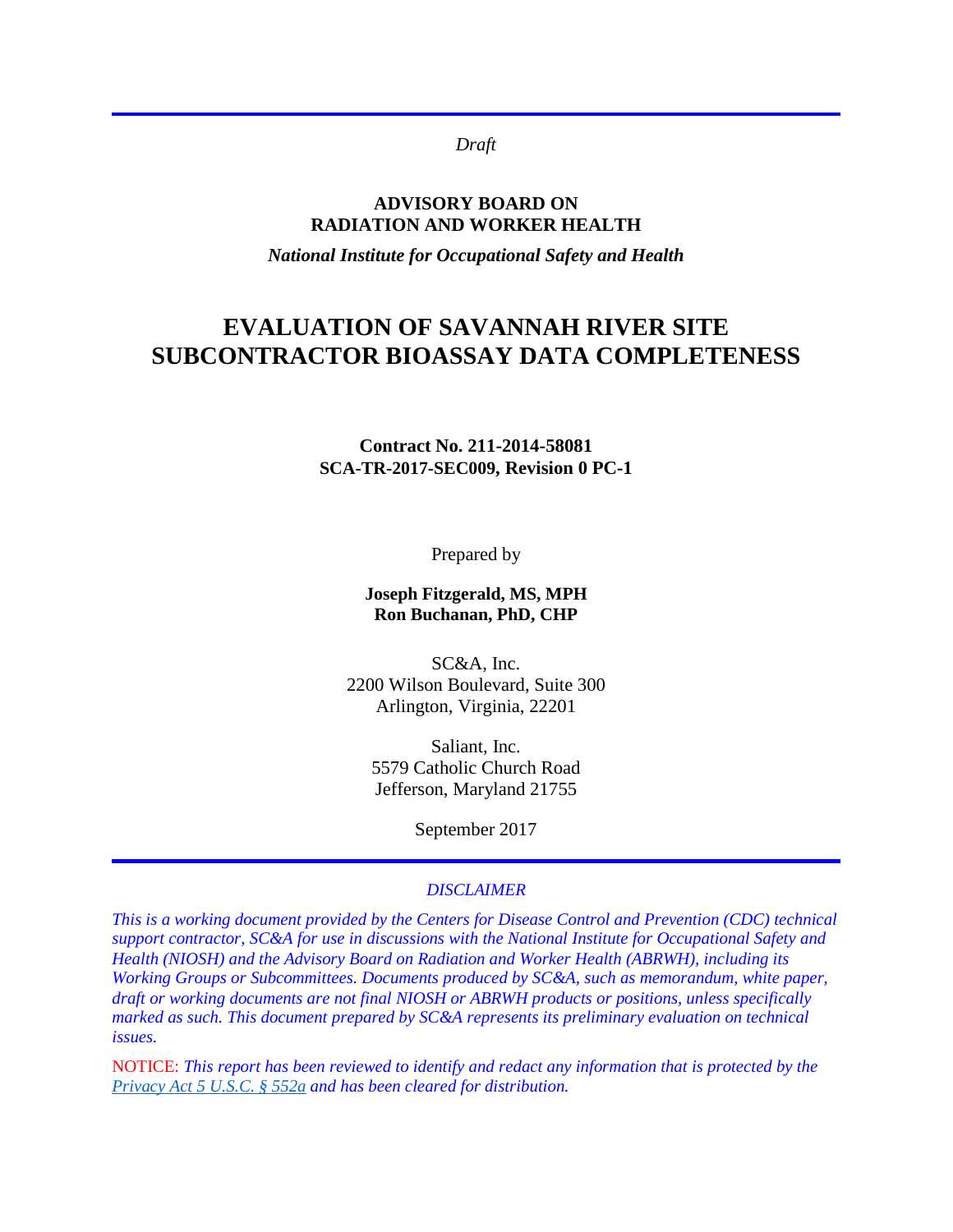*Draft*

### **ADVISORY BOARD ON RADIATION AND WORKER HEALTH**

*National Institute for Occupational Safety and Health*

# **EVALUATION OF SAVANNAH RIVER SITE SUBCONTRACTOR BIOASSAY DATA COMPLETENESS**

### **Contract No. 211-2014-58081 SCA-TR-2017-SEC009, Revision 0 PC-1**

Prepared by

**Joseph Fitzgerald, MS, MPH Ron Buchanan, PhD, CHP**

SC&A, Inc. 2200 Wilson Boulevard, Suite 300 Arlington, Virginia, 22201

Saliant, Inc. 5579 Catholic Church Road Jefferson, Maryland 21755

September 2017

### *DISCLAIMER*

*This is a working document provided by the Centers for Disease Control and Prevention (CDC) technical support contractor, SC&A for use in discussions with the National Institute for Occupational Safety and Health (NIOSH) and the Advisory Board on Radiation and Worker Health (ABRWH), including its Working Groups or Subcommittees. Documents produced by SC&A, such as memorandum, white paper, draft or working documents are not final NIOSH or ABRWH products or positions, unless specifically marked as such. This document prepared by SC&A represents its preliminary evaluation on technical issues.*

NOTICE: *This report has been reviewed to identify and redact any information that is protected by the [Privacy Act 5 U.S.C. § 552a](http://www.justice.gov/opcl/privacy-act-1974) and has been cleared for distribution.*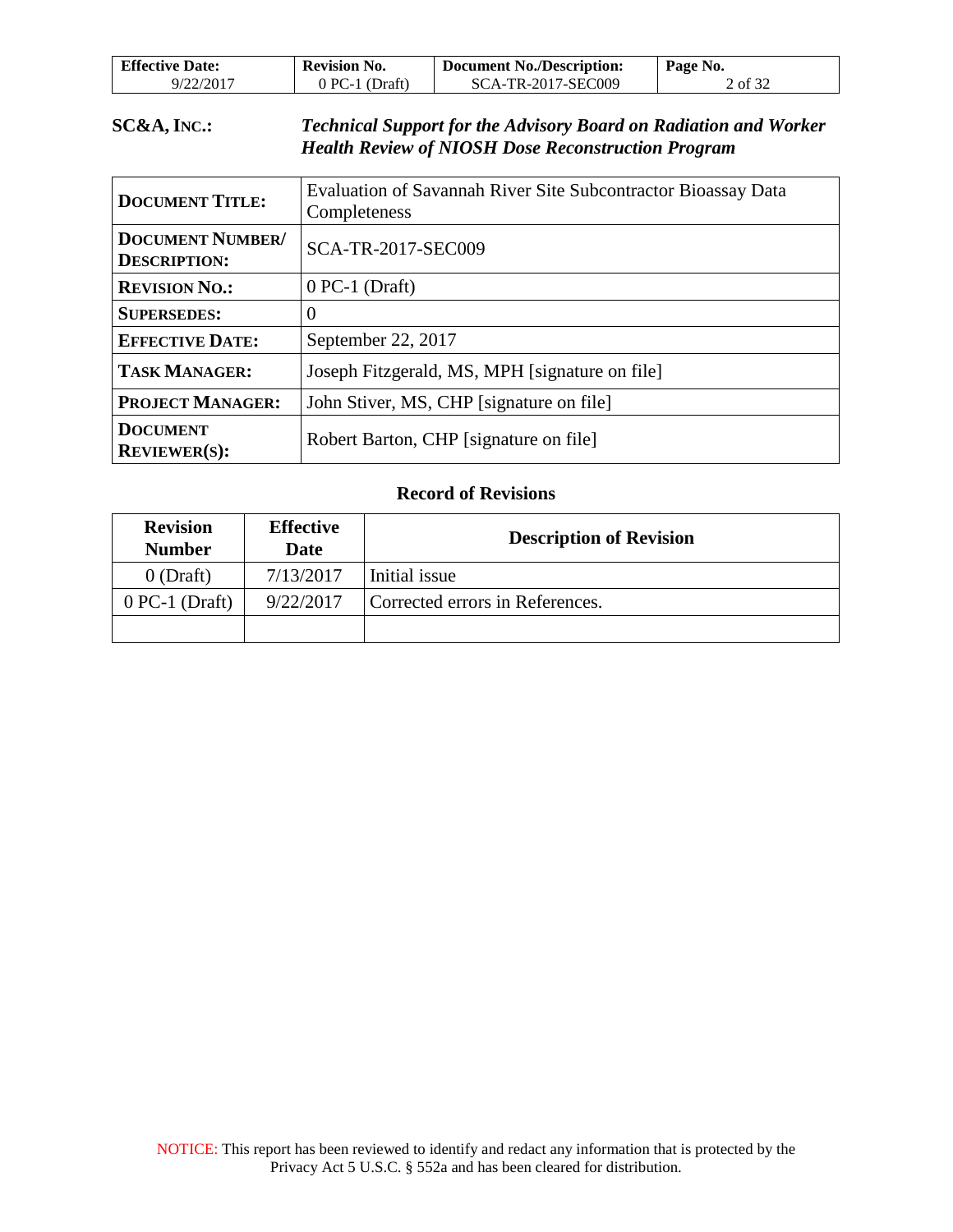| <b>Effective Date:</b> | <b>Revision No.</b> | <b>Document No./Description:</b> | Page No. |
|------------------------|---------------------|----------------------------------|----------|
| 9/22/2017              | $0$ PC-1 (Draft)    | SCA-TR-2017-SEC009               | 2 of 32  |

### **SC&A, INC.:** *Technical Support for the Advisory Board on Radiation and Worker Health Review of NIOSH Dose Reconstruction Program*

| <b>DOCUMENT TITLE:</b>                         | Evaluation of Savannah River Site Subcontractor Bioassay Data<br>Completeness |
|------------------------------------------------|-------------------------------------------------------------------------------|
| <b>DOCUMENT NUMBER/</b><br><b>DESCRIPTION:</b> | <b>SCA-TR-2017-SEC009</b>                                                     |
| <b>REVISION NO.:</b>                           | $0$ PC-1 (Draft)                                                              |
| <b>SUPERSEDES:</b>                             | 0                                                                             |
| <b>EFFECTIVE DATE:</b>                         | September 22, 2017                                                            |
| <b>TASK MANAGER:</b>                           | Joseph Fitzgerald, MS, MPH [signature on file]                                |
| <b>PROJECT MANAGER:</b>                        | John Stiver, MS, CHP [signature on file]                                      |
| <b>DOCUMENT</b><br><b>REVIEWER(S):</b>         | Robert Barton, CHP [signature on file]                                        |

### **Record of Revisions**

| <b>Revision</b><br><b>Number</b> | <b>Effective</b><br><b>Date</b> | <b>Description of Revision</b>  |
|----------------------------------|---------------------------------|---------------------------------|
| $0$ (Draft)                      | 7/13/2017                       | Initial issue                   |
| $0$ PC-1 (Draft)                 | 9/22/2017                       | Corrected errors in References. |
|                                  |                                 |                                 |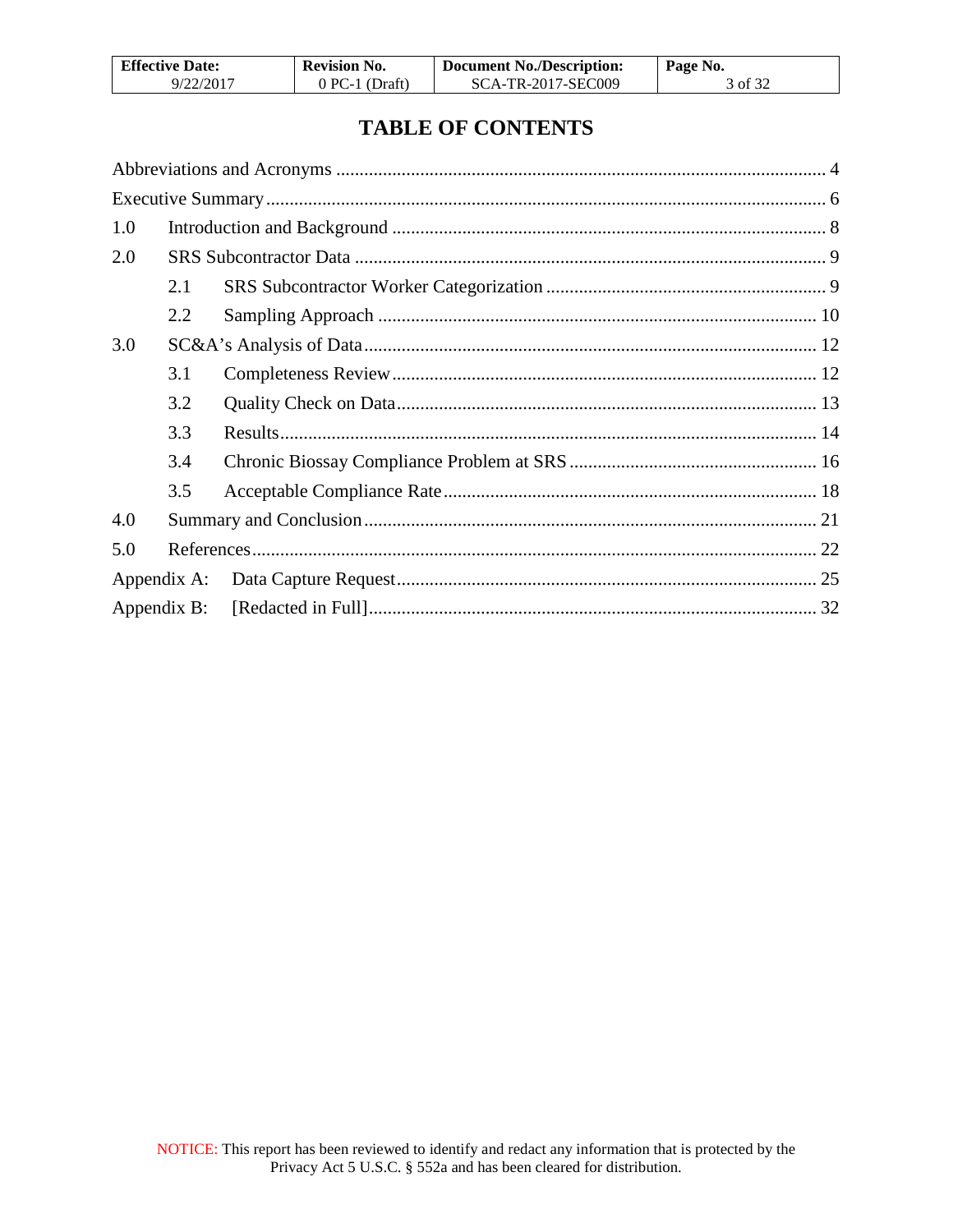| <b>Effective Date:</b> | <b>Revision No.</b> | <b>Document No./Description:</b> | Page No. |
|------------------------|---------------------|----------------------------------|----------|
| 9/22/2017              | $0$ PC-1 (Draft)    | SCA-TR-2017-SEC009               | 3 of 32  |

# **TABLE OF CONTENTS**

| 1.0 |             |  |
|-----|-------------|--|
| 2.0 |             |  |
|     | 2.1         |  |
|     | 2.2         |  |
| 3.0 |             |  |
|     | 3.1         |  |
|     | 3.2         |  |
|     | 3.3         |  |
|     | 3.4         |  |
|     | 3.5         |  |
| 4.0 |             |  |
| 5.0 |             |  |
|     |             |  |
|     | Appendix B: |  |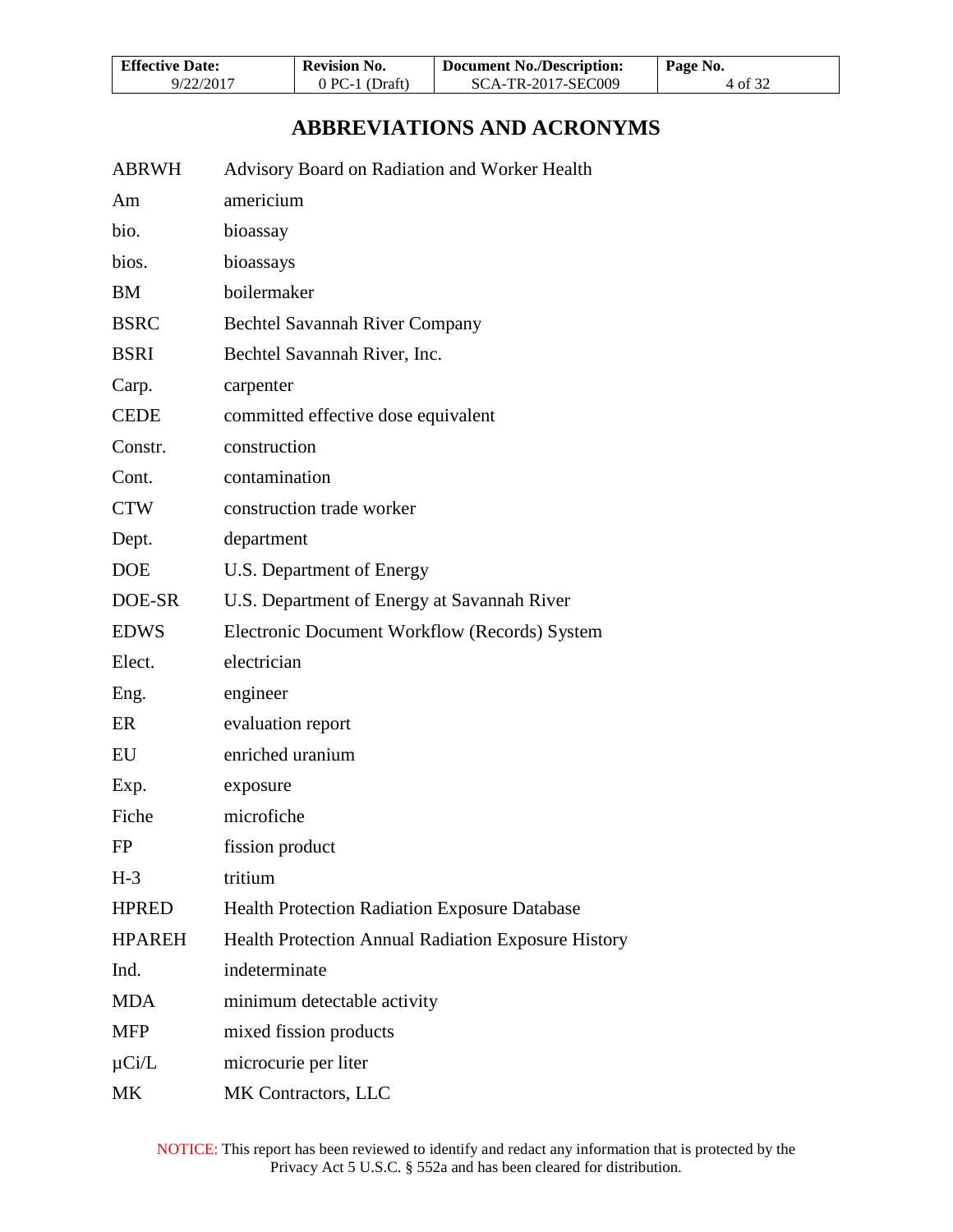| <b>Effective Date:</b> | <b>Revision No.</b> | <b>Document No./Description:</b> | Page No. |
|------------------------|---------------------|----------------------------------|----------|
| 9/22/2017              | $0$ PC-1 (Draft)    | SCA-TR-2017-SEC009               | 4 of 32  |

# **ABBREVIATIONS AND ACRONYMS**

<span id="page-3-0"></span>

| <b>ABRWH</b> | Advisory Board on Radiation and Worker Health |
|--------------|-----------------------------------------------|
| Am           | americium                                     |
| bio.         | bioassay                                      |
| bios.        | bioassays                                     |
| BM           | boilermaker                                   |
| <b>BSRC</b>  | <b>Bechtel Savannah River Company</b>         |
| <b>BSRI</b>  | Bechtel Savannah River, Inc.                  |
| Carp.        | carpenter                                     |
| <b>CEDE</b>  | committed effective dose equivalent           |
| Constr.      | construction                                  |
| Cont.        | contamination                                 |
| <b>CTW</b>   | construction trade worker                     |
| Dept.        | department                                    |
| <b>DOE</b>   | U.S. Department of Energy                     |
| DOE-SR       | U.S. Department of Energy at Savannah River   |
| <b>EDWS</b>  | Electronic Document Workflow (Records) System |
| Elect.       | electrician                                   |
| Eng.         | engineer                                      |
| ER           | evaluation report                             |

HPRED Health Protection Radiation Exposure Database

HPAREH Health Protection Annual Radiation Exposure History

EU enriched uranium

FP fission product

Ind. indeterminate

MDA minimum detectable activity

MFP mixed fission products

MK Contractors, LLC

µCi/L microcurie per liter

Exp. exposure Fiche microfiche

H-3 tritium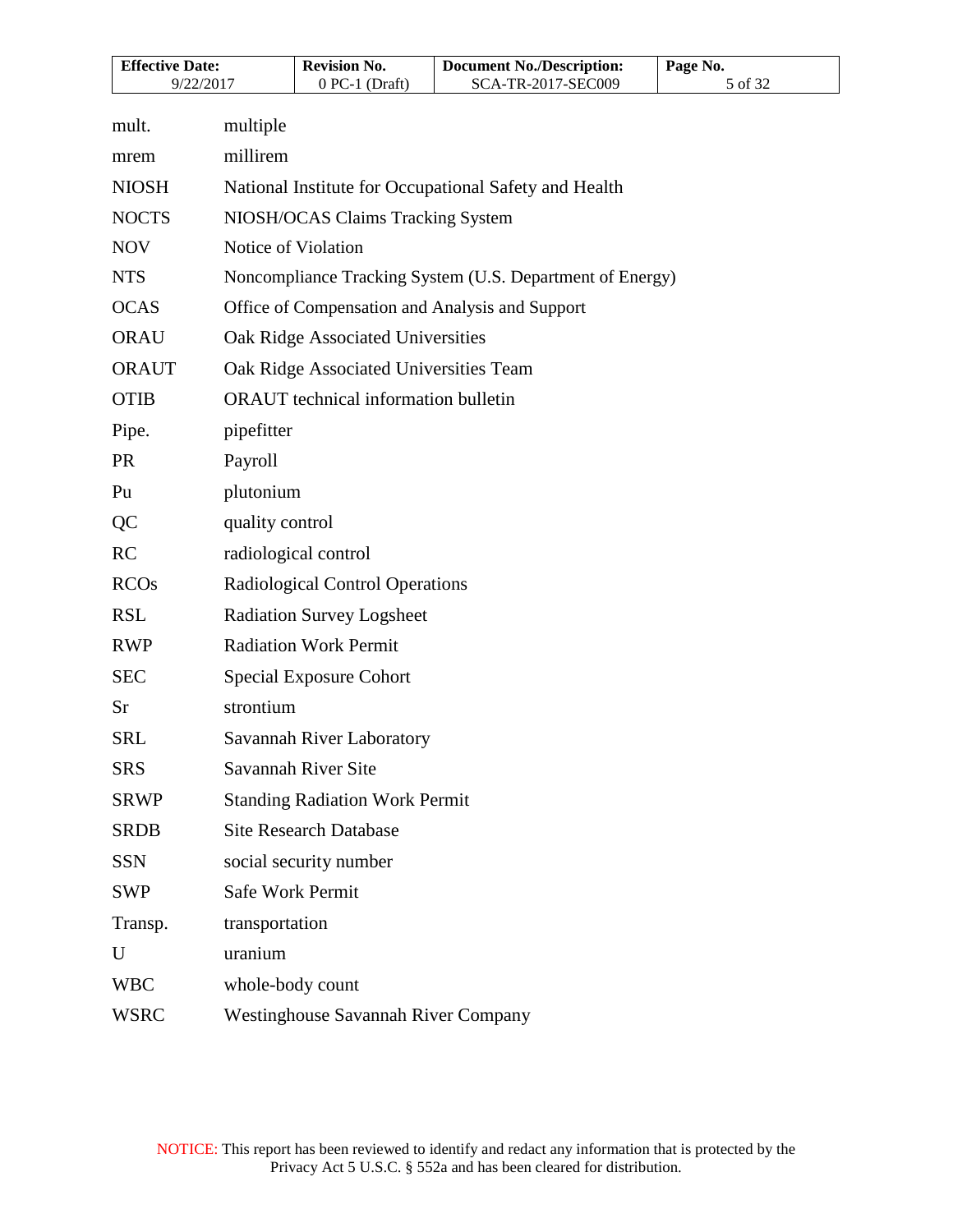| <b>Effective Date:</b><br>9/22/2017 |                                                       | <b>Revision No.</b><br>$0$ PC-1 (Draft)     | <b>Document No./Description:</b><br>SCA-TR-2017-SEC009    | Page No. |  |
|-------------------------------------|-------------------------------------------------------|---------------------------------------------|-----------------------------------------------------------|----------|--|
|                                     |                                                       |                                             |                                                           | 5 of 32  |  |
| mult.                               | multiple                                              |                                             |                                                           |          |  |
| mrem                                | millirem                                              |                                             |                                                           |          |  |
| <b>NIOSH</b>                        | National Institute for Occupational Safety and Health |                                             |                                                           |          |  |
| <b>NOCTS</b>                        |                                                       | NIOSH/OCAS Claims Tracking System           |                                                           |          |  |
| <b>NOV</b>                          |                                                       | Notice of Violation                         |                                                           |          |  |
| <b>NTS</b>                          |                                                       |                                             | Noncompliance Tracking System (U.S. Department of Energy) |          |  |
| <b>OCAS</b>                         |                                                       |                                             | Office of Compensation and Analysis and Support           |          |  |
| <b>ORAU</b>                         |                                                       | Oak Ridge Associated Universities           |                                                           |          |  |
| <b>ORAUT</b>                        |                                                       | Oak Ridge Associated Universities Team      |                                                           |          |  |
| <b>OTIB</b>                         |                                                       | <b>ORAUT</b> technical information bulletin |                                                           |          |  |
| Pipe.                               | pipefitter                                            |                                             |                                                           |          |  |
| <b>PR</b>                           | Payroll                                               |                                             |                                                           |          |  |
| Pu                                  | plutonium                                             |                                             |                                                           |          |  |
| QC                                  | quality control                                       |                                             |                                                           |          |  |
| <b>RC</b>                           | radiological control                                  |                                             |                                                           |          |  |
| <b>RCOs</b>                         | Radiological Control Operations                       |                                             |                                                           |          |  |
| <b>RSL</b>                          | <b>Radiation Survey Logsheet</b>                      |                                             |                                                           |          |  |
| <b>RWP</b>                          | <b>Radiation Work Permit</b>                          |                                             |                                                           |          |  |
| <b>SEC</b>                          |                                                       | Special Exposure Cohort                     |                                                           |          |  |
| Sr                                  | strontium                                             |                                             |                                                           |          |  |
| <b>SRL</b>                          |                                                       | Savannah River Laboratory                   |                                                           |          |  |
| <b>SRS</b>                          |                                                       | Savannah River Site                         |                                                           |          |  |
| <b>SRWP</b>                         |                                                       | <b>Standing Radiation Work Permit</b>       |                                                           |          |  |
| <b>SRDB</b>                         |                                                       | <b>Site Research Database</b>               |                                                           |          |  |
| <b>SSN</b>                          |                                                       | social security number                      |                                                           |          |  |
| <b>SWP</b>                          | <b>Safe Work Permit</b>                               |                                             |                                                           |          |  |
| Transp.                             | transportation                                        |                                             |                                                           |          |  |
| U                                   | uranium                                               |                                             |                                                           |          |  |
| <b>WBC</b>                          | whole-body count                                      |                                             |                                                           |          |  |
| <b>WSRC</b>                         |                                                       | <b>Westinghouse Savannah River Company</b>  |                                                           |          |  |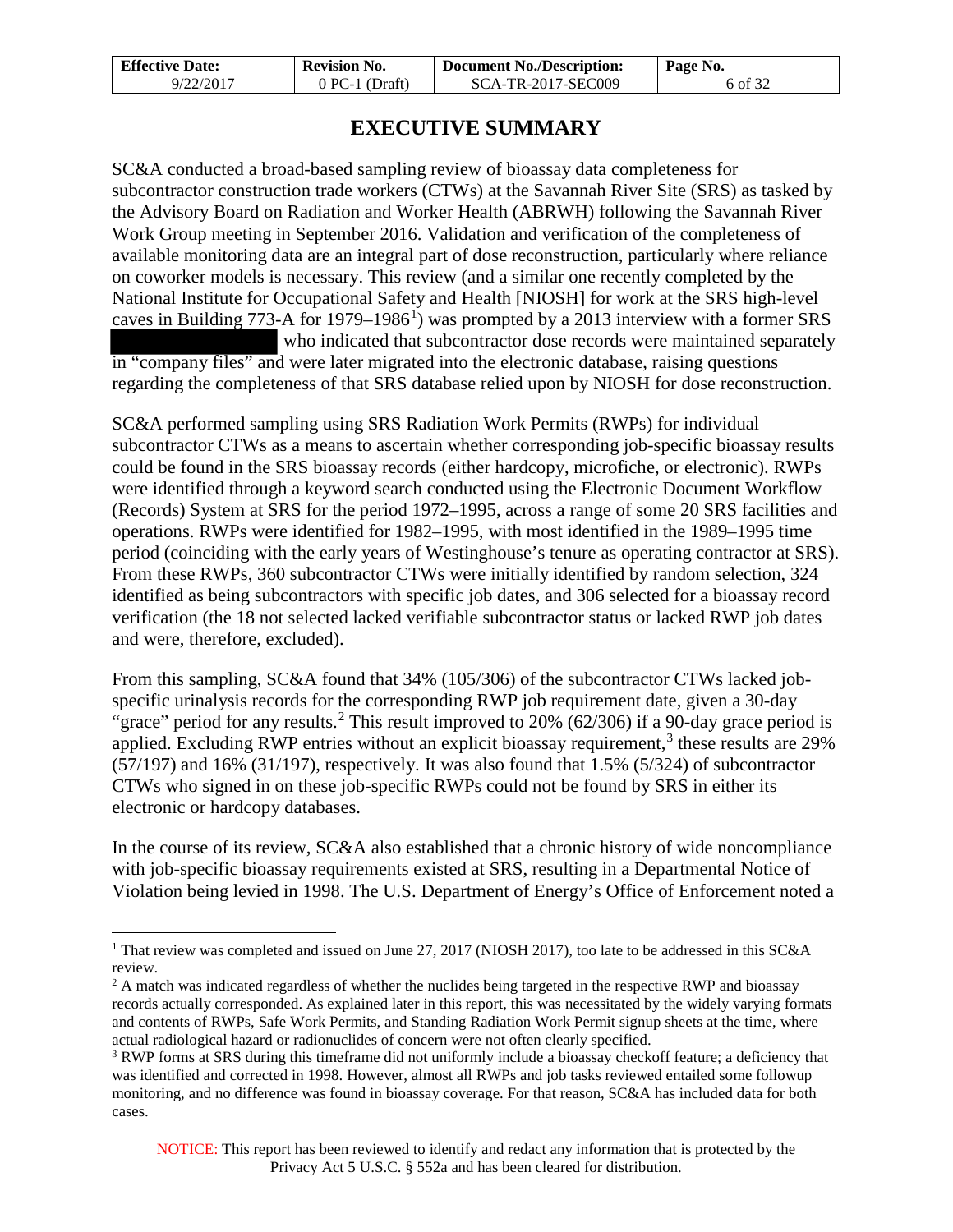| <b>Effective Date:</b> | <b>Revision No.</b> | <b>Document No./Description:</b> | Page No. |
|------------------------|---------------------|----------------------------------|----------|
| 9/22/2017              | $0$ PC-1 (Draft)    | <b>SCA-TR-2017-SEC009</b>        | 6 of 32  |

## **EXECUTIVE SUMMARY**

<span id="page-5-0"></span>SC&A conducted a broad-based sampling review of bioassay data completeness for subcontractor construction trade workers (CTWs) at the Savannah River Site (SRS) as tasked by the Advisory Board on Radiation and Worker Health (ABRWH) following the Savannah River Work Group meeting in September 2016. Validation and verification of the completeness of available monitoring data are an integral part of dose reconstruction, particularly where reliance on coworker models is necessary. This review (and a similar one recently completed by the National Institute for Occupational Safety and Health [NIOSH] for work at the SRS high-level caves in Building  $773$ -A for [1](#page-5-1)979–1986<sup>1</sup>) was prompted by a 2013 interview with a former SRS who indicated that subcontractor dose records were maintained separately in "company files" and were later migrated into the electronic database, raising questions regarding the completeness of that SRS database relied upon by NIOSH for dose reconstruction.

SC&A performed sampling using SRS Radiation Work Permits (RWPs) for individual subcontractor CTWs as a means to ascertain whether corresponding job-specific bioassay results could be found in the SRS bioassay records (either hardcopy, microfiche, or electronic). RWPs were identified through a keyword search conducted using the Electronic Document Workflow (Records) System at SRS for the period 1972–1995, across a range of some 20 SRS facilities and operations. RWPs were identified for 1982–1995, with most identified in the 1989–1995 time period (coinciding with the early years of Westinghouse's tenure as operating contractor at SRS). From these RWPs, 360 subcontractor CTWs were initially identified by random selection, 324 identified as being subcontractors with specific job dates, and 306 selected for a bioassay record verification (the 18 not selected lacked verifiable subcontractor status or lacked RWP job dates and were, therefore, excluded).

From this sampling, SC&A found that 34% (105/306) of the subcontractor CTWs lacked jobspecific urinalysis records for the corresponding RWP job requirement date, given a 30-day "grace" period for any results.<sup>[2](#page-5-2)</sup> This result improved to 20% (62/306) if a 90-day grace period is applied. Excluding RWP entries without an explicit bioassay requirement,<sup>[3](#page-5-3)</sup> these results are  $29\%$ (57/197) and 16% (31/197), respectively. It was also found that 1.5% (5/324) of subcontractor CTWs who signed in on these job-specific RWPs could not be found by SRS in either its electronic or hardcopy databases.

In the course of its review, SC&A also established that a chronic history of wide noncompliance with job-specific bioassay requirements existed at SRS, resulting in a Departmental Notice of Violation being levied in 1998. The U.S. Department of Energy's Office of Enforcement noted a

 $\overline{a}$ 

<span id="page-5-1"></span><sup>&</sup>lt;sup>1</sup> That review was completed and issued on June 27, 2017 (NIOSH 2017), too late to be addressed in this SC&A review.

<span id="page-5-2"></span><sup>&</sup>lt;sup>2</sup> A match was indicated regardless of whether the nuclides being targeted in the respective RWP and bioassay records actually corresponded. As explained later in this report, this was necessitated by the widely varying formats and contents of RWPs, Safe Work Permits, and Standing Radiation Work Permit signup sheets at the time, where actual radiological hazard or radionuclides of concern were not often clearly specified.

<span id="page-5-3"></span><sup>&</sup>lt;sup>3</sup> RWP forms at SRS during this timeframe did not uniformly include a bioassay checkoff feature; a deficiency that was identified and corrected in 1998. However, almost all RWPs and job tasks reviewed entailed some followup monitoring, and no difference was found in bioassay coverage. For that reason, SC&A has included data for both cases.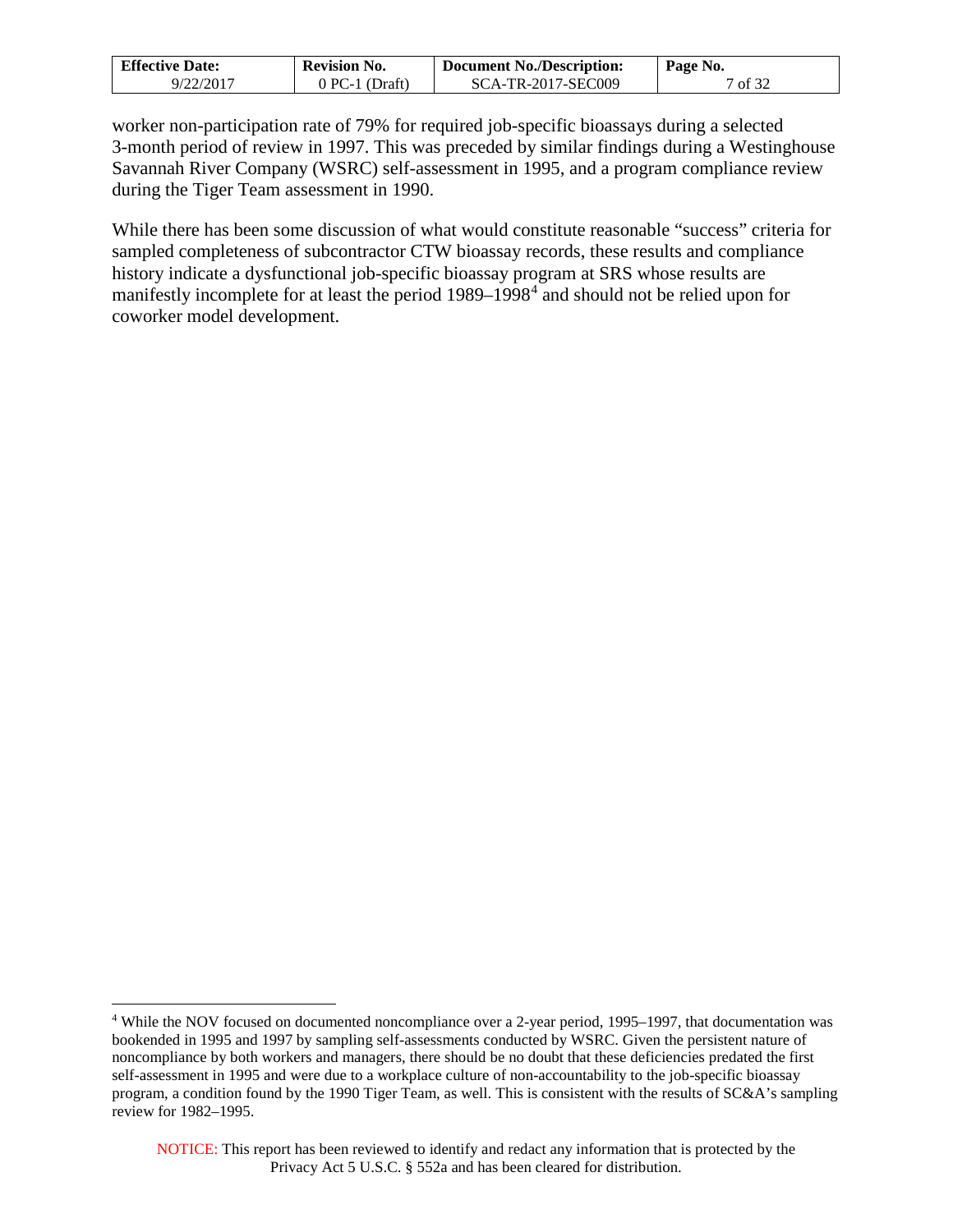| <b>Effective Date:</b> | <b>Revision No.</b> | <b>Document No./Description:</b> | Page No. |
|------------------------|---------------------|----------------------------------|----------|
| 9/22/2017              | $0$ PC-1 (Draft)    | SCA-TR-2017-SEC009               | 7 of 32  |

worker non-participation rate of 79% for required job-specific bioassays during a selected 3-month period of review in 1997. This was preceded by similar findings during a Westinghouse Savannah River Company (WSRC) self-assessment in 1995, and a program compliance review during the Tiger Team assessment in 1990.

While there has been some discussion of what would constitute reasonable "success" criteria for sampled completeness of subcontractor CTW bioassay records, these results and compliance history indicate a dysfunctional job-specific bioassay program at SRS whose results are manifestly incomplete for at least the period 1989–1998<sup>[4](#page-6-0)</sup> and should not be relied upon for coworker model development.

 $\overline{a}$ 

<span id="page-6-0"></span><sup>4</sup> While the NOV focused on documented noncompliance over a 2-year period, 1995–1997, that documentation was bookended in 1995 and 1997 by sampling self-assessments conducted by WSRC. Given the persistent nature of noncompliance by both workers and managers, there should be no doubt that these deficiencies predated the first self-assessment in 1995 and were due to a workplace culture of non-accountability to the job-specific bioassay program, a condition found by the 1990 Tiger Team, as well. This is consistent with the results of SC&A's sampling review for 1982–1995.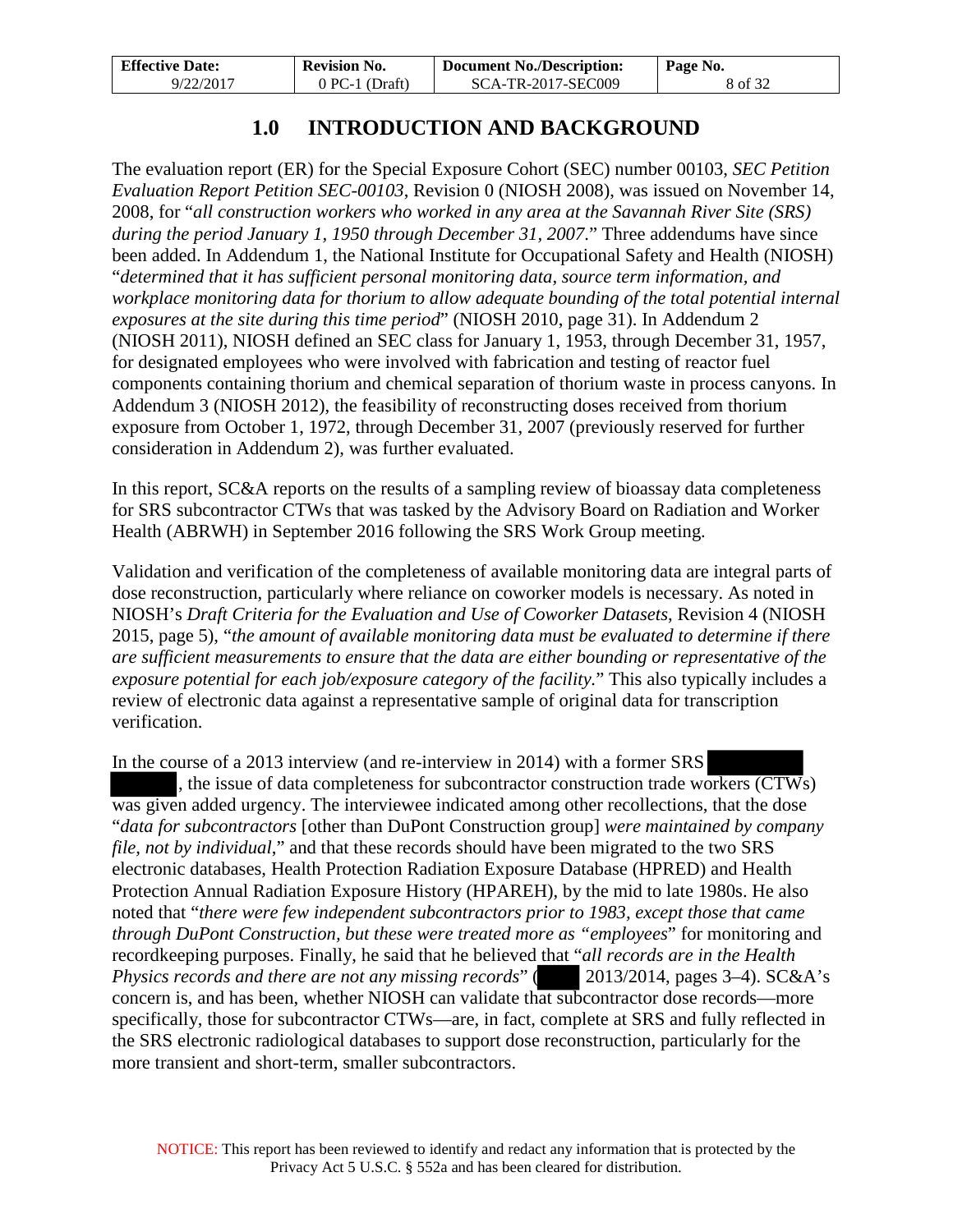| <b>Effective Date:</b> | <b>Revision No.</b> | Document No./Description: | Page No. |
|------------------------|---------------------|---------------------------|----------|
| 9/22/2017              | $0 PC-1 (Draff)$    | SCA-TR-2017-SEC009        | 8 of 32  |

# **1.0 INTRODUCTION AND BACKGROUND**

<span id="page-7-0"></span>The evaluation report (ER) for the Special Exposure Cohort (SEC) number 00103, *SEC Petition Evaluation Report Petition SEC-00103*, Revision 0 (NIOSH 2008), was issued on November 14, 2008, for "*all construction workers who worked in any area at the Savannah River Site (SRS) during the period January 1, 1950 through December 31, 2007*." Three addendums have since been added. In Addendum 1, the National Institute for Occupational Safety and Health (NIOSH) "*determined that it has sufficient personal monitoring data, source term information, and workplace monitoring data for thorium to allow adequate bounding of the total potential internal exposures at the site during this time period*" (NIOSH 2010, page 31). In Addendum 2 (NIOSH 2011), NIOSH defined an SEC class for January 1, 1953, through December 31, 1957, for designated employees who were involved with fabrication and testing of reactor fuel components containing thorium and chemical separation of thorium waste in process canyons. In Addendum 3 (NIOSH 2012), the feasibility of reconstructing doses received from thorium exposure from October 1, 1972, through December 31, 2007 (previously reserved for further consideration in Addendum 2), was further evaluated.

In this report, SC&A reports on the results of a sampling review of bioassay data completeness for SRS subcontractor CTWs that was tasked by the Advisory Board on Radiation and Worker Health (ABRWH) in September 2016 following the SRS Work Group meeting.

Validation and verification of the completeness of available monitoring data are integral parts of dose reconstruction, particularly where reliance on coworker models is necessary. As noted in NIOSH's *Draft Criteria for the Evaluation and Use of Coworker Datasets*, Revision 4 (NIOSH 2015, page 5), "*the amount of available monitoring data must be evaluated to determine if there are sufficient measurements to ensure that the data are either bounding or representative of the exposure potential for each job/exposure category of the facility.*" This also typically includes a review of electronic data against a representative sample of original data for transcription verification.

In the course of a 2013 interview (and re-interview in 2014) with a former SRS , the issue of data completeness for subcontractor construction trade workers (CTWs) was given added urgency. The interviewee indicated among other recollections, that the dose "*data for subcontractors* [other than DuPont Construction group] *were maintained by company file, not by individual*," and that these records should have been migrated to the two SRS electronic databases, Health Protection Radiation Exposure Database (HPRED) and Health Protection Annual Radiation Exposure History (HPAREH), by the mid to late 1980s. He also noted that "*there were few independent subcontractors prior to 1983, except those that came through DuPont Construction, but these were treated more as "employees*" for monitoring and recordkeeping purposes. Finally, he said that he believed that "*all records are in the Health Physics records and there are not any missing records*" (2013/2014, pages 3–4). SC&A's concern is, and has been, whether NIOSH can validate that subcontractor dose records—more specifically, those for subcontractor CTWs—are, in fact, complete at SRS and fully reflected in the SRS electronic radiological databases to support dose reconstruction, particularly for the more transient and short-term, smaller subcontractors.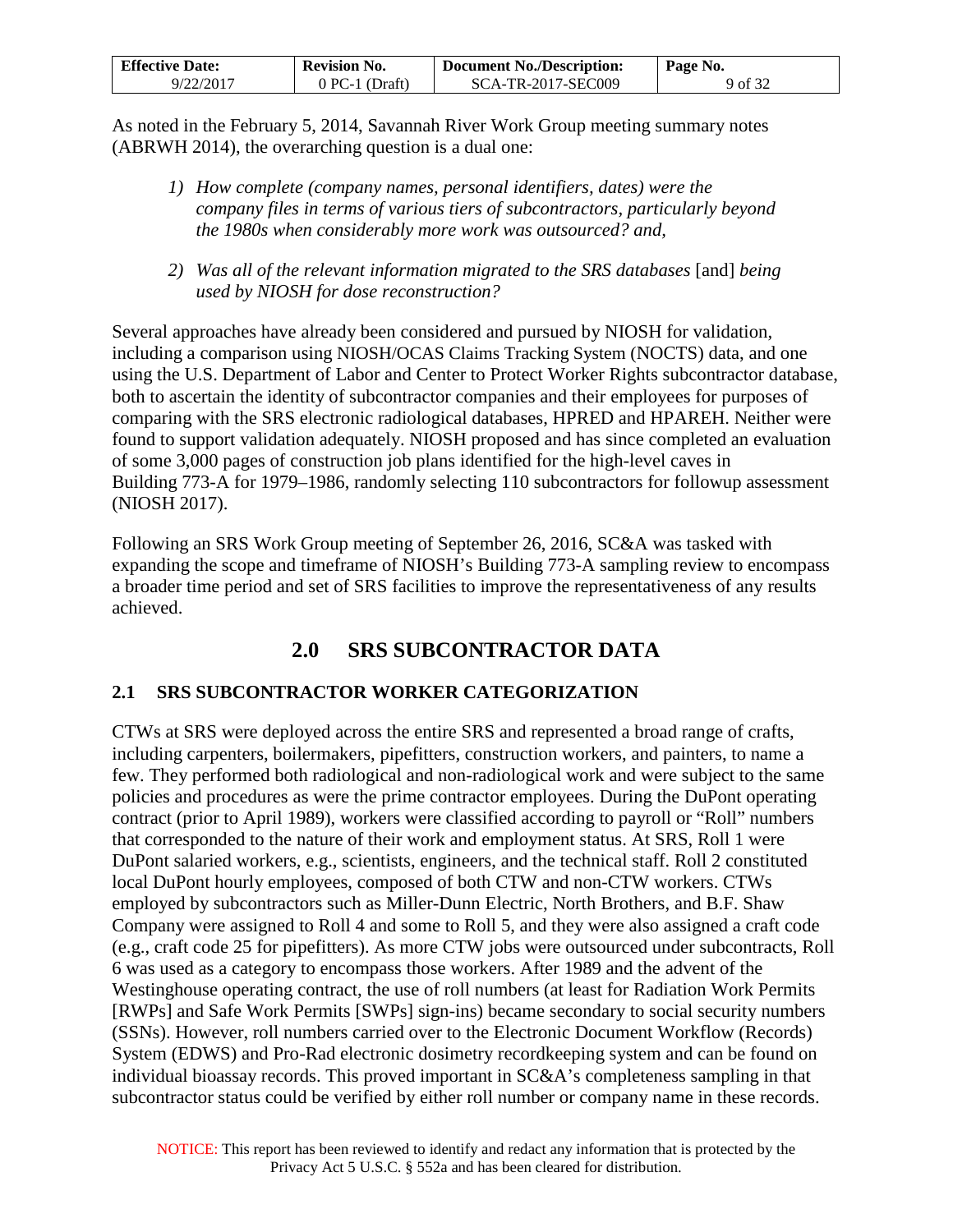| <b>Effective Date:</b> | <b>Revision No.</b> | Document No./Description: | Page No. |
|------------------------|---------------------|---------------------------|----------|
| 9/22/2017              | $0$ PC-1 (Draft)    | SCA-TR-2017-SEC009        | 9 of 32  |

As noted in the February 5, 2014, Savannah River Work Group meeting summary notes (ABRWH 2014), the overarching question is a dual one:

- *1) How complete (company names, personal identifiers, dates) were the company files in terms of various tiers of subcontractors, particularly beyond the 1980s when considerably more work was outsourced? and,*
- *2) Was all of the relevant information migrated to the SRS databases* [and] *being used by NIOSH for dose reconstruction?*

Several approaches have already been considered and pursued by NIOSH for validation, including a comparison using NIOSH/OCAS Claims Tracking System (NOCTS) data, and one using the U.S. Department of Labor and Center to Protect Worker Rights subcontractor database, both to ascertain the identity of subcontractor companies and their employees for purposes of comparing with the SRS electronic radiological databases, HPRED and HPAREH. Neither were found to support validation adequately. NIOSH proposed and has since completed an evaluation of some 3,000 pages of construction job plans identified for the high-level caves in Building 773-A for 1979–1986, randomly selecting 110 subcontractors for followup assessment (NIOSH 2017).

Following an SRS Work Group meeting of September 26, 2016, SC&A was tasked with expanding the scope and timeframe of NIOSH's Building 773-A sampling review to encompass a broader time period and set of SRS facilities to improve the representativeness of any results achieved.

# **2.0 SRS SUBCONTRACTOR DATA**

## <span id="page-8-1"></span><span id="page-8-0"></span>**2.1 SRS SUBCONTRACTOR WORKER CATEGORIZATION**

CTWs at SRS were deployed across the entire SRS and represented a broad range of crafts, including carpenters, boilermakers, pipefitters, construction workers, and painters, to name a few. They performed both radiological and non-radiological work and were subject to the same policies and procedures as were the prime contractor employees. During the DuPont operating contract (prior to April 1989), workers were classified according to payroll or "Roll" numbers that corresponded to the nature of their work and employment status. At SRS, Roll 1 were DuPont salaried workers, e.g., scientists, engineers, and the technical staff. Roll 2 constituted local DuPont hourly employees, composed of both CTW and non-CTW workers. CTWs employed by subcontractors such as Miller-Dunn Electric, North Brothers, and B.F. Shaw Company were assigned to Roll 4 and some to Roll 5, and they were also assigned a craft code (e.g., craft code 25 for pipefitters). As more CTW jobs were outsourced under subcontracts, Roll 6 was used as a category to encompass those workers. After 1989 and the advent of the Westinghouse operating contract, the use of roll numbers (at least for Radiation Work Permits [RWPs] and Safe Work Permits [SWPs] sign-ins) became secondary to social security numbers (SSNs). However, roll numbers carried over to the Electronic Document Workflow (Records) System (EDWS) and Pro-Rad electronic dosimetry recordkeeping system and can be found on individual bioassay records. This proved important in SC&A's completeness sampling in that subcontractor status could be verified by either roll number or company name in these records.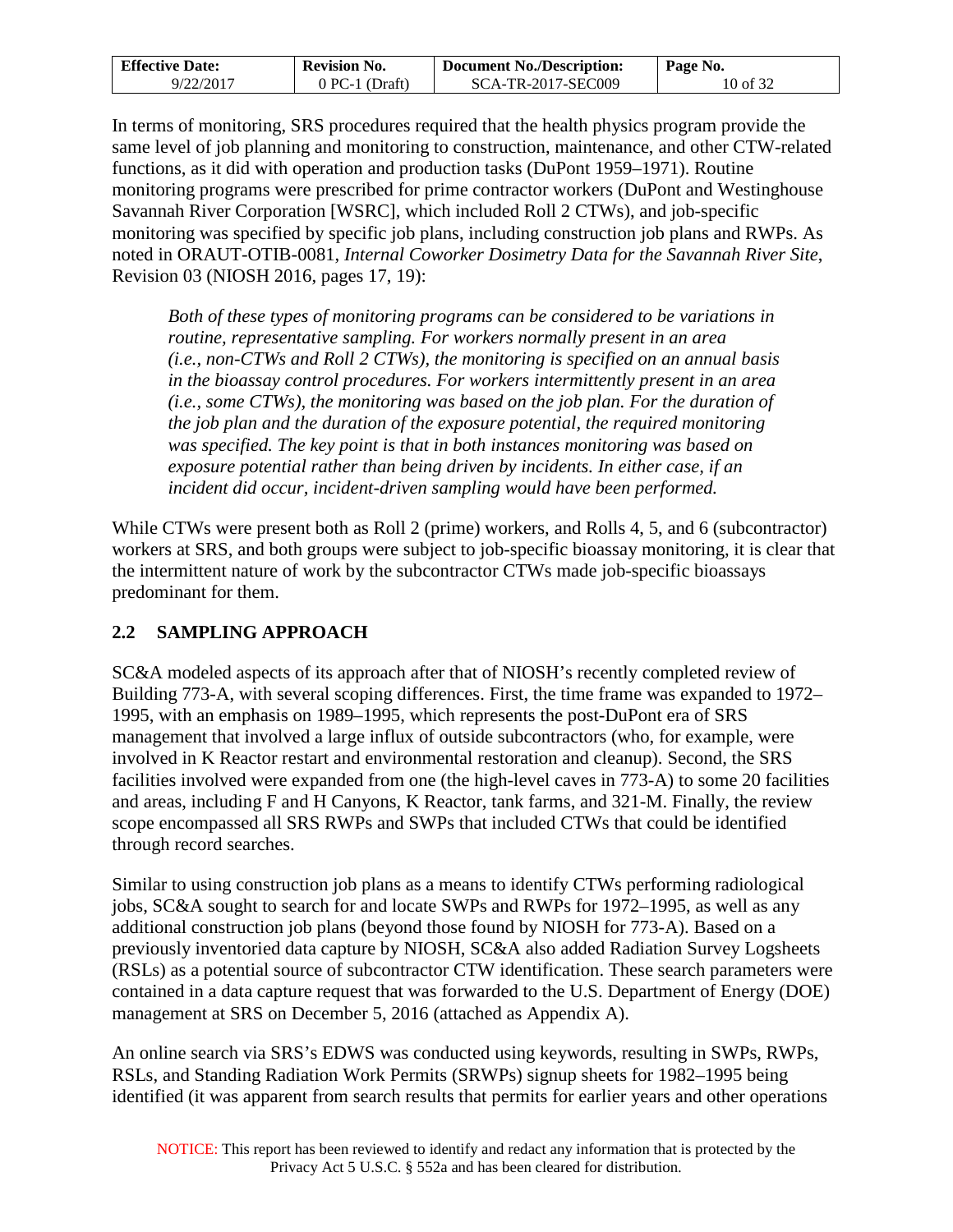| <b>Effective Date:</b> | <b>Revision No.</b> | <b>Document No./Description:</b> | Page No. |
|------------------------|---------------------|----------------------------------|----------|
| 9/22/2017              | 0 PC-1 (Draft)      | SCA-TR-2017-SEC009               | 10 of 32 |

In terms of monitoring, SRS procedures required that the health physics program provide the same level of job planning and monitoring to construction, maintenance, and other CTW-related functions, as it did with operation and production tasks (DuPont 1959–1971). Routine monitoring programs were prescribed for prime contractor workers (DuPont and Westinghouse Savannah River Corporation [WSRC], which included Roll 2 CTWs), and job-specific monitoring was specified by specific job plans, including construction job plans and RWPs. As noted in ORAUT-OTIB-0081, *Internal Coworker Dosimetry Data for the Savannah River Site*, Revision 03 (NIOSH 2016, pages 17, 19):

*Both of these types of monitoring programs can be considered to be variations in routine, representative sampling. For workers normally present in an area (i.e., non-CTWs and Roll 2 CTWs), the monitoring is specified on an annual basis in the bioassay control procedures. For workers intermittently present in an area (i.e., some CTWs), the monitoring was based on the job plan. For the duration of the job plan and the duration of the exposure potential, the required monitoring was specified. The key point is that in both instances monitoring was based on exposure potential rather than being driven by incidents. In either case, if an incident did occur, incident-driven sampling would have been performed.* 

While CTWs were present both as Roll 2 (prime) workers, and Rolls 4, 5, and 6 (subcontractor) workers at SRS, and both groups were subject to job-specific bioassay monitoring, it is clear that the intermittent nature of work by the subcontractor CTWs made job-specific bioassays predominant for them.

## <span id="page-9-0"></span>**2.2 SAMPLING APPROACH**

SC&A modeled aspects of its approach after that of NIOSH's recently completed review of Building 773-A, with several scoping differences. First, the time frame was expanded to 1972– 1995, with an emphasis on 1989–1995, which represents the post-DuPont era of SRS management that involved a large influx of outside subcontractors (who, for example, were involved in K Reactor restart and environmental restoration and cleanup). Second, the SRS facilities involved were expanded from one (the high-level caves in 773-A) to some 20 facilities and areas, including F and H Canyons, K Reactor, tank farms, and 321-M. Finally, the review scope encompassed all SRS RWPs and SWPs that included CTWs that could be identified through record searches.

Similar to using construction job plans as a means to identify CTWs performing radiological jobs, SC&A sought to search for and locate SWPs and RWPs for 1972–1995, as well as any additional construction job plans (beyond those found by NIOSH for 773-A). Based on a previously inventoried data capture by NIOSH, SC&A also added Radiation Survey Logsheets (RSLs) as a potential source of subcontractor CTW identification. These search parameters were contained in a data capture request that was forwarded to the U.S. Department of Energy (DOE) management at SRS on December 5, 2016 (attached as Appendix A).

An online search via SRS's EDWS was conducted using keywords, resulting in SWPs, RWPs, RSLs, and Standing Radiation Work Permits (SRWPs) signup sheets for 1982–1995 being identified (it was apparent from search results that permits for earlier years and other operations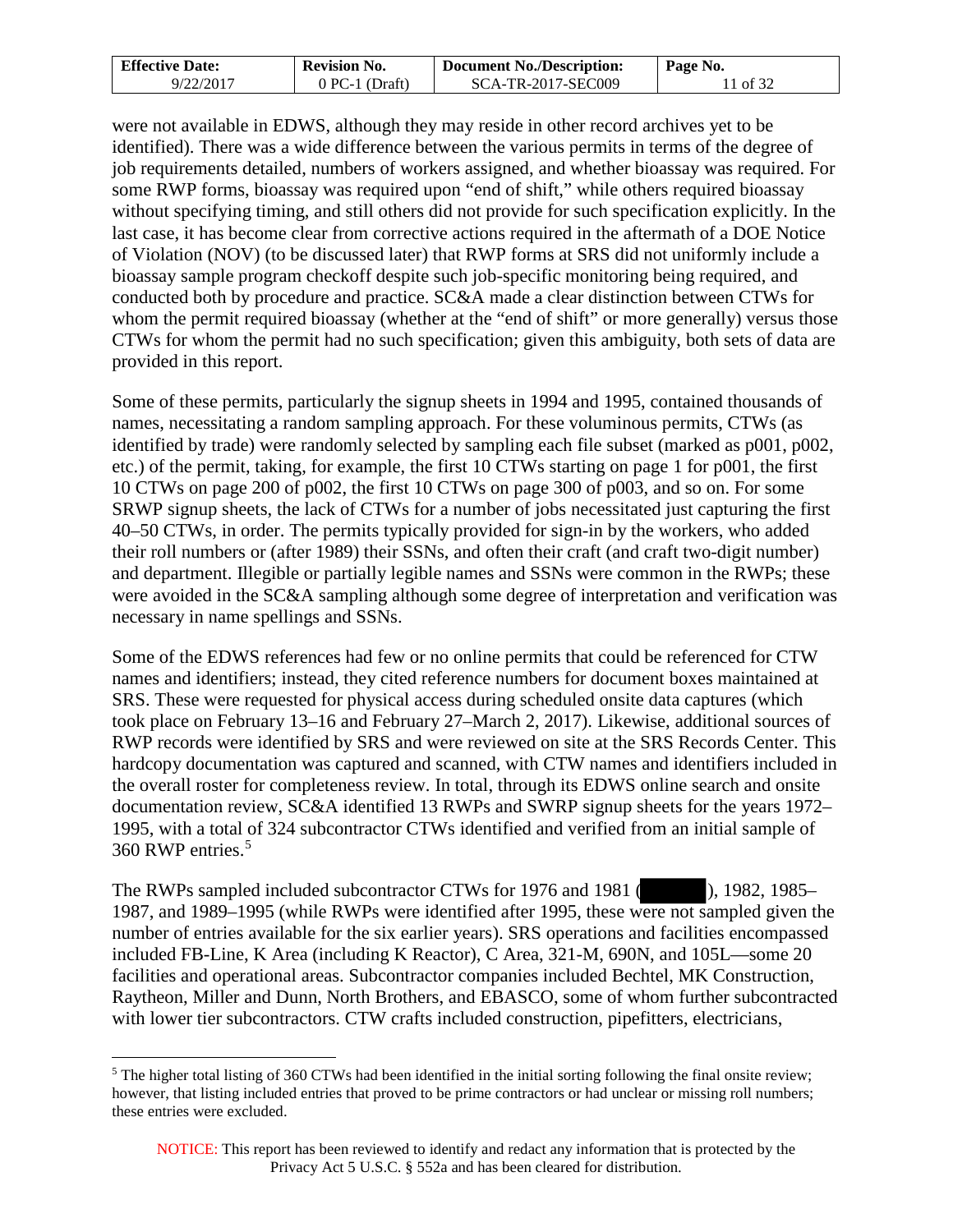| <b>Effective Date:</b> | <b>Revision No.</b> | <b>Document No./Description:</b> | Page No. |
|------------------------|---------------------|----------------------------------|----------|
| 9/22/2017              | 0 PC-1 (Draft)      | SCA-TR-2017-SEC009               | of 32    |

were not available in EDWS, although they may reside in other record archives yet to be identified). There was a wide difference between the various permits in terms of the degree of job requirements detailed, numbers of workers assigned, and whether bioassay was required. For some RWP forms, bioassay was required upon "end of shift," while others required bioassay without specifying timing, and still others did not provide for such specification explicitly. In the last case, it has become clear from corrective actions required in the aftermath of a DOE Notice of Violation (NOV) (to be discussed later) that RWP forms at SRS did not uniformly include a bioassay sample program checkoff despite such job-specific monitoring being required, and conducted both by procedure and practice. SC&A made a clear distinction between CTWs for whom the permit required bioassay (whether at the "end of shift" or more generally) versus those CTWs for whom the permit had no such specification; given this ambiguity, both sets of data are provided in this report.

Some of these permits, particularly the signup sheets in 1994 and 1995, contained thousands of names, necessitating a random sampling approach. For these voluminous permits, CTWs (as identified by trade) were randomly selected by sampling each file subset (marked as p001, p002, etc.) of the permit, taking, for example, the first 10 CTWs starting on page 1 for p001, the first 10 CTWs on page 200 of p002, the first 10 CTWs on page 300 of p003, and so on. For some SRWP signup sheets, the lack of CTWs for a number of jobs necessitated just capturing the first 40–50 CTWs, in order. The permits typically provided for sign-in by the workers, who added their roll numbers or (after 1989) their SSNs, and often their craft (and craft two-digit number) and department. Illegible or partially legible names and SSNs were common in the RWPs; these were avoided in the SC&A sampling although some degree of interpretation and verification was necessary in name spellings and SSNs.

Some of the EDWS references had few or no online permits that could be referenced for CTW names and identifiers; instead, they cited reference numbers for document boxes maintained at SRS. These were requested for physical access during scheduled onsite data captures (which took place on February 13–16 and February 27–March 2, 2017). Likewise, additional sources of RWP records were identified by SRS and were reviewed on site at the SRS Records Center. This hardcopy documentation was captured and scanned, with CTW names and identifiers included in the overall roster for completeness review. In total, through its EDWS online search and onsite documentation review, SC&A identified 13 RWPs and SWRP signup sheets for the years 1972– 1995, with a total of 324 subcontractor CTWs identified and verified from an initial sample of 360 RWP entries.[5](#page-10-0)

The RWPs sampled included subcontractor CTWs for 1976 and 1981 ( ), 1982, 1985– 1987, and 1989–1995 (while RWPs were identified after 1995, these were not sampled given the number of entries available for the six earlier years). SRS operations and facilities encompassed included FB-Line, K Area (including K Reactor), C Area, 321-M, 690N, and 105L—some 20 facilities and operational areas. Subcontractor companies included Bechtel, MK Construction, Raytheon, Miller and Dunn, North Brothers, and EBASCO, some of whom further subcontracted with lower tier subcontractors. CTW crafts included construction, pipefitters, electricians,

<span id="page-10-0"></span><sup>&</sup>lt;sup>5</sup> The higher total listing of 360 CTWs had been identified in the initial sorting following the final onsite review; however, that listing included entries that proved to be prime contractors or had unclear or missing roll numbers; these entries were excluded.  $\overline{a}$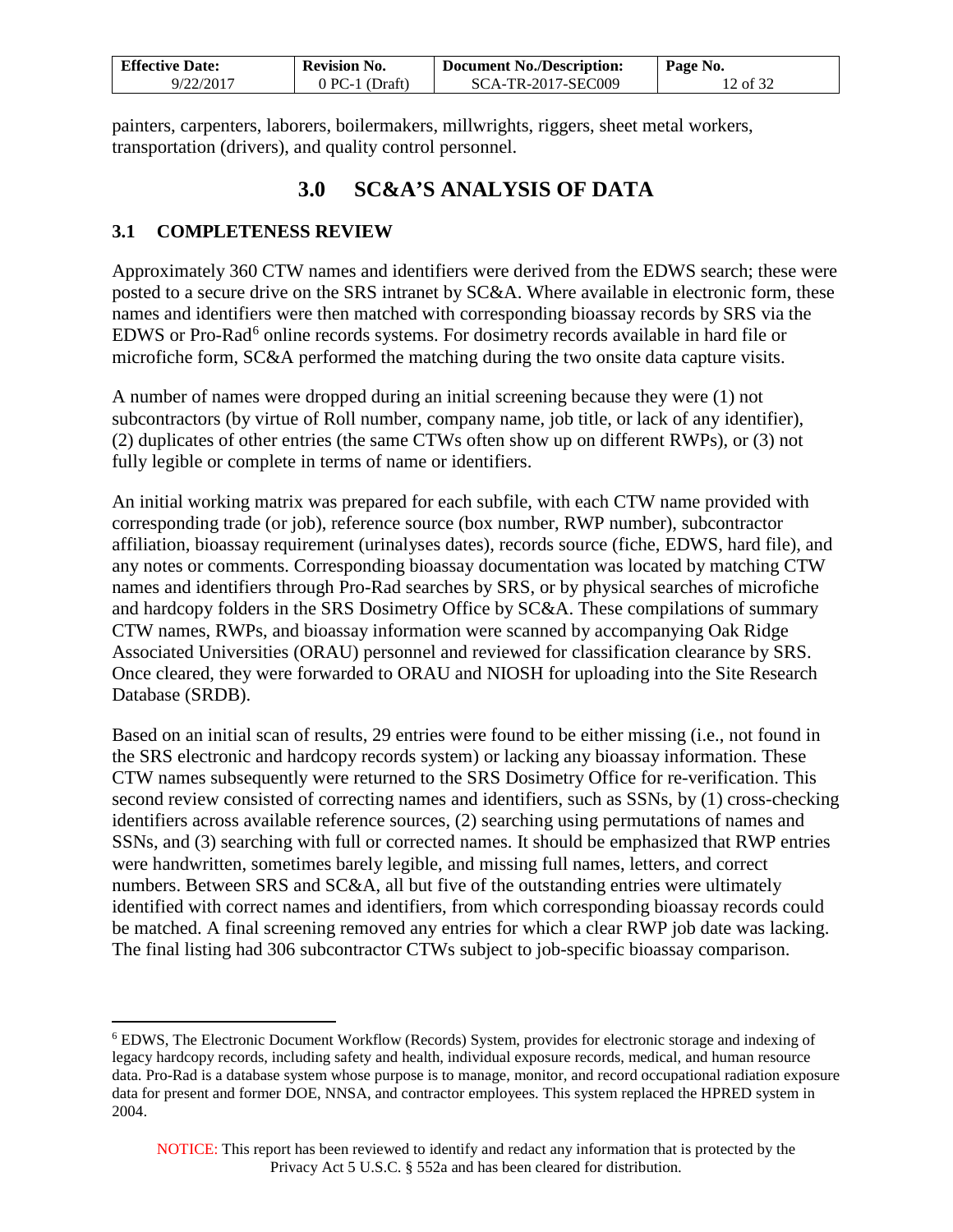| <b>Effective Date:</b> | <b>Revision No.</b> | <b>Document No./Description:</b> | Page No. |
|------------------------|---------------------|----------------------------------|----------|
| 9/22/2017              | 0 PC-1 (Draft)      | SCA-TR-2017-SEC009               | 12 of 32 |

painters, carpenters, laborers, boilermakers, millwrights, riggers, sheet metal workers, transportation (drivers), and quality control personnel.

## **3.0 SC&A'S ANALYSIS OF DATA**

### <span id="page-11-1"></span><span id="page-11-0"></span>**3.1 COMPLETENESS REVIEW**

 $\overline{a}$ 

Approximately 360 CTW names and identifiers were derived from the EDWS search; these were posted to a secure drive on the SRS intranet by SC&A. Where available in electronic form, these names and identifiers were then matched with corresponding bioassay records by SRS via the EDWS or Pro-Rad<sup>[6](#page-11-2)</sup> online records systems. For dosimetry records available in hard file or microfiche form, SC&A performed the matching during the two onsite data capture visits.

A number of names were dropped during an initial screening because they were (1) not subcontractors (by virtue of Roll number, company name, job title, or lack of any identifier), (2) duplicates of other entries (the same CTWs often show up on different RWPs), or (3) not fully legible or complete in terms of name or identifiers.

An initial working matrix was prepared for each subfile, with each CTW name provided with corresponding trade (or job), reference source (box number, RWP number), subcontractor affiliation, bioassay requirement (urinalyses dates), records source (fiche, EDWS, hard file), and any notes or comments. Corresponding bioassay documentation was located by matching CTW names and identifiers through Pro-Rad searches by SRS, or by physical searches of microfiche and hardcopy folders in the SRS Dosimetry Office by SC&A. These compilations of summary CTW names, RWPs, and bioassay information were scanned by accompanying Oak Ridge Associated Universities (ORAU) personnel and reviewed for classification clearance by SRS. Once cleared, they were forwarded to ORAU and NIOSH for uploading into the Site Research Database (SRDB).

Based on an initial scan of results, 29 entries were found to be either missing (i.e., not found in the SRS electronic and hardcopy records system) or lacking any bioassay information. These CTW names subsequently were returned to the SRS Dosimetry Office for re-verification. This second review consisted of correcting names and identifiers, such as SSNs, by (1) cross-checking identifiers across available reference sources, (2) searching using permutations of names and SSNs, and (3) searching with full or corrected names. It should be emphasized that RWP entries were handwritten, sometimes barely legible, and missing full names, letters, and correct numbers. Between SRS and SC&A, all but five of the outstanding entries were ultimately identified with correct names and identifiers, from which corresponding bioassay records could be matched. A final screening removed any entries for which a clear RWP job date was lacking. The final listing had 306 subcontractor CTWs subject to job-specific bioassay comparison.

<span id="page-11-2"></span><sup>6</sup> EDWS, The Electronic Document Workflow (Records) System, provides for electronic storage and indexing of legacy hardcopy records, including safety and health, individual exposure records, medical, and human resource data. Pro-Rad is a database system whose purpose is to manage, monitor, and record occupational radiation exposure data for present and former DOE, NNSA, and contractor employees. This system replaced the HPRED system in 2004.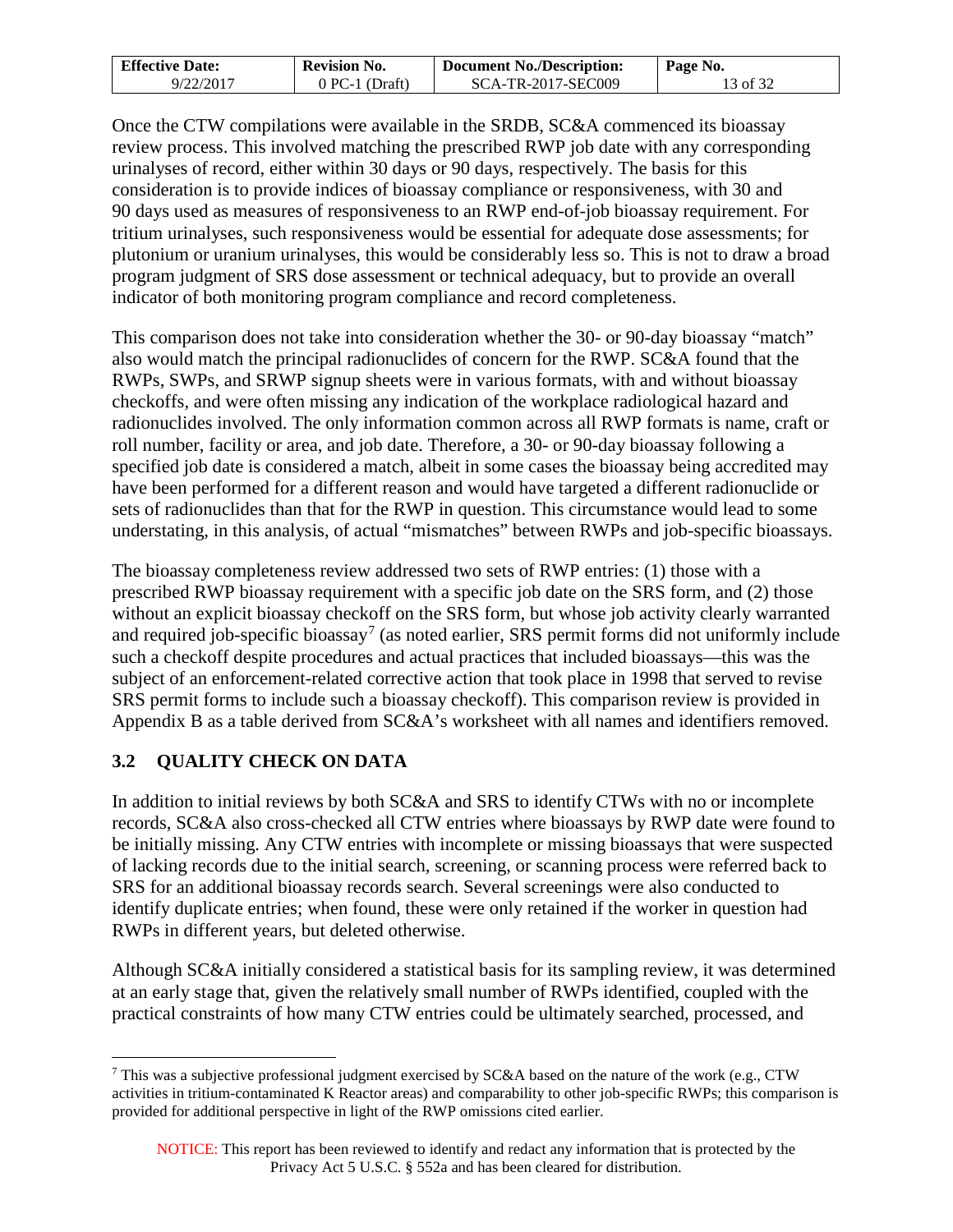| <b>Effective Date:</b> | <b>Revision No.</b> | <b>Document No./Description:</b> | Page No. |
|------------------------|---------------------|----------------------------------|----------|
| 9/22/2017              | $0$ PC-1 (Draft)    | SCA-TR-2017-SEC009               | 13 of 32 |

Once the CTW compilations were available in the SRDB, SC&A commenced its bioassay review process. This involved matching the prescribed RWP job date with any corresponding urinalyses of record, either within 30 days or 90 days, respectively. The basis for this consideration is to provide indices of bioassay compliance or responsiveness, with 30 and 90 days used as measures of responsiveness to an RWP end-of-job bioassay requirement. For tritium urinalyses, such responsiveness would be essential for adequate dose assessments; for plutonium or uranium urinalyses, this would be considerably less so. This is not to draw a broad program judgment of SRS dose assessment or technical adequacy, but to provide an overall indicator of both monitoring program compliance and record completeness.

This comparison does not take into consideration whether the 30- or 90-day bioassay "match" also would match the principal radionuclides of concern for the RWP. SC&A found that the RWPs, SWPs, and SRWP signup sheets were in various formats, with and without bioassay checkoffs, and were often missing any indication of the workplace radiological hazard and radionuclides involved. The only information common across all RWP formats is name, craft or roll number, facility or area, and job date. Therefore, a 30- or 90-day bioassay following a specified job date is considered a match, albeit in some cases the bioassay being accredited may have been performed for a different reason and would have targeted a different radionuclide or sets of radionuclides than that for the RWP in question. This circumstance would lead to some understating, in this analysis, of actual "mismatches" between RWPs and job-specific bioassays.

The bioassay completeness review addressed two sets of RWP entries: (1) those with a prescribed RWP bioassay requirement with a specific job date on the SRS form, and (2) those without an explicit bioassay checkoff on the SRS form, but whose job activity clearly warranted and required job-specific bioassay<sup>[7](#page-12-1)</sup> (as noted earlier, SRS permit forms did not uniformly include such a checkoff despite procedures and actual practices that included bioassays—this was the subject of an enforcement-related corrective action that took place in 1998 that served to revise SRS permit forms to include such a bioassay checkoff). This comparison review is provided in Appendix B as a table derived from SC&A's worksheet with all names and identifiers removed.

## <span id="page-12-0"></span>**3.2 QUALITY CHECK ON DATA**

In addition to initial reviews by both SC&A and SRS to identify CTWs with no or incomplete records, SC&A also cross-checked all CTW entries where bioassays by RWP date were found to be initially missing. Any CTW entries with incomplete or missing bioassays that were suspected of lacking records due to the initial search, screening, or scanning process were referred back to SRS for an additional bioassay records search. Several screenings were also conducted to identify duplicate entries; when found, these were only retained if the worker in question had RWPs in different years, but deleted otherwise.

Although SC&A initially considered a statistical basis for its sampling review, it was determined at an early stage that, given the relatively small number of RWPs identified, coupled with the practical constraints of how many CTW entries could be ultimately searched, processed, and

<span id="page-12-1"></span><sup>&</sup>lt;sup>7</sup> This was a subjective professional judgment exercised by SC&A based on the nature of the work (e.g., CTW activities in tritium-contaminated K Reactor areas) and comparability to other job-specific RWPs; this comparison is provided for additional perspective in light of the RWP omissions cited earlier.  $\overline{a}$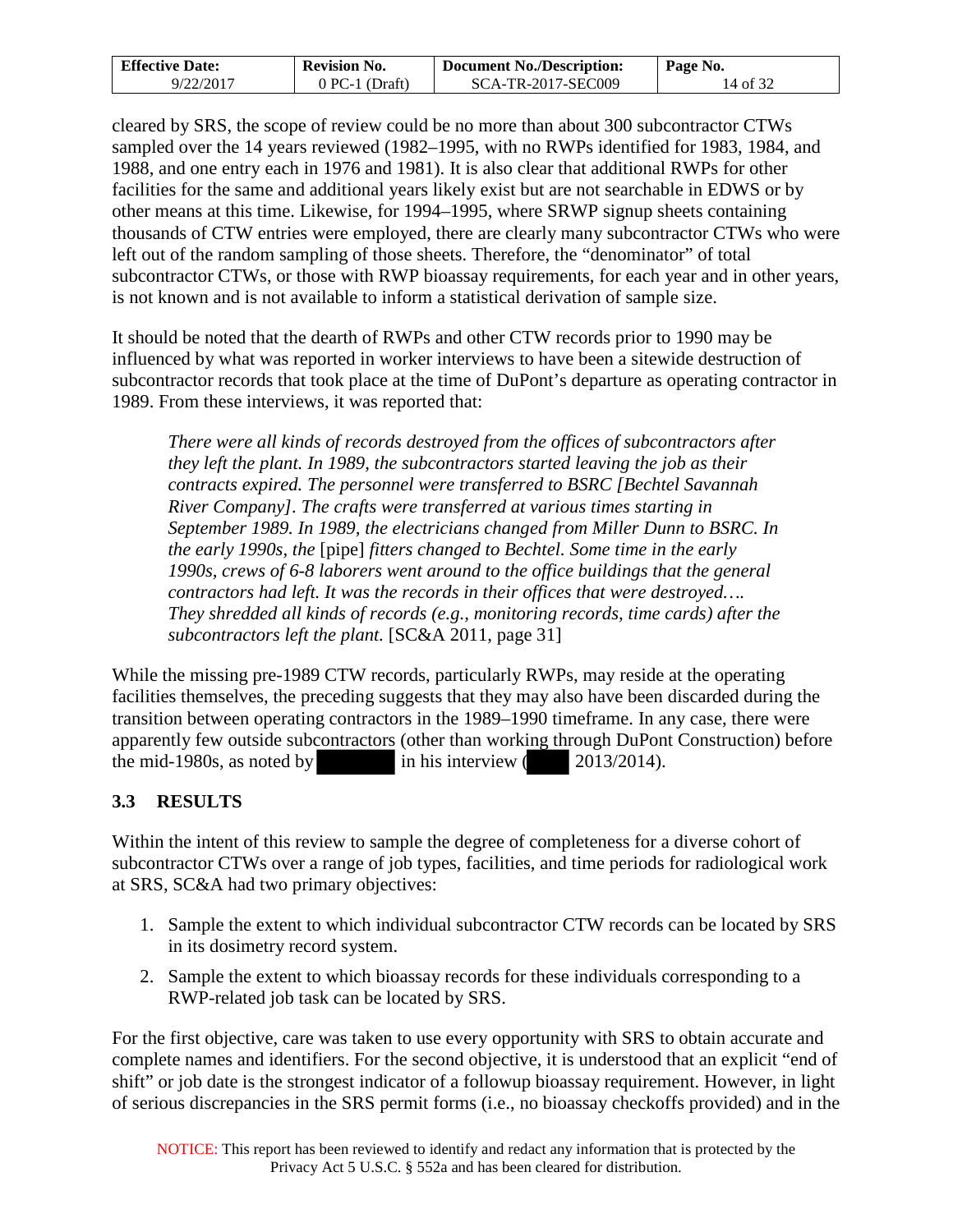| <b>Effective Date:</b> | <b>Revision No.</b> | <b>Document No./Description:</b> | Page No. |
|------------------------|---------------------|----------------------------------|----------|
| 9/22/2017              | 0 PC-1 (Draft)      | SCA-TR-2017-SEC009               | 14 of 32 |

cleared by SRS, the scope of review could be no more than about 300 subcontractor CTWs sampled over the 14 years reviewed (1982–1995, with no RWPs identified for 1983, 1984, and 1988, and one entry each in 1976 and 1981). It is also clear that additional RWPs for other facilities for the same and additional years likely exist but are not searchable in EDWS or by other means at this time. Likewise, for 1994–1995, where SRWP signup sheets containing thousands of CTW entries were employed, there are clearly many subcontractor CTWs who were left out of the random sampling of those sheets. Therefore, the "denominator" of total subcontractor CTWs, or those with RWP bioassay requirements, for each year and in other years, is not known and is not available to inform a statistical derivation of sample size.

It should be noted that the dearth of RWPs and other CTW records prior to 1990 may be influenced by what was reported in worker interviews to have been a sitewide destruction of subcontractor records that took place at the time of DuPont's departure as operating contractor in 1989. From these interviews, it was reported that:

*There were all kinds of records destroyed from the offices of subcontractors after they left the plant. In 1989, the subcontractors started leaving the job as their contracts expired. The personnel were transferred to BSRC [Bechtel Savannah River Company]. The crafts were transferred at various times starting in September 1989. In 1989, the electricians changed from Miller Dunn to BSRC. In the early 1990s, the* [pipe] *fitters changed to Bechtel. Some time in the early 1990s, crews of 6-8 laborers went around to the office buildings that the general contractors had left. It was the records in their offices that were destroyed…. They shredded all kinds of records (e.g., monitoring records, time cards) after the subcontractors left the plant.* [SC&A 2011, page 31]

While the missing pre-1989 CTW records, particularly RWPs, may reside at the operating facilities themselves, the preceding suggests that they may also have been discarded during the transition between operating contractors in the 1989–1990 timeframe. In any case, there were apparently few outside subcontractors (other than working through DuPont Construction) before the mid-1980s, as noted by in his interview ( 2013/2014).

## <span id="page-13-0"></span>**3.3 RESULTS**

Within the intent of this review to sample the degree of completeness for a diverse cohort of subcontractor CTWs over a range of job types, facilities, and time periods for radiological work at SRS, SC&A had two primary objectives:

- 1. Sample the extent to which individual subcontractor CTW records can be located by SRS in its dosimetry record system.
- 2. Sample the extent to which bioassay records for these individuals corresponding to a RWP-related job task can be located by SRS.

For the first objective, care was taken to use every opportunity with SRS to obtain accurate and complete names and identifiers. For the second objective, it is understood that an explicit "end of shift" or job date is the strongest indicator of a followup bioassay requirement. However, in light of serious discrepancies in the SRS permit forms (i.e., no bioassay checkoffs provided) and in the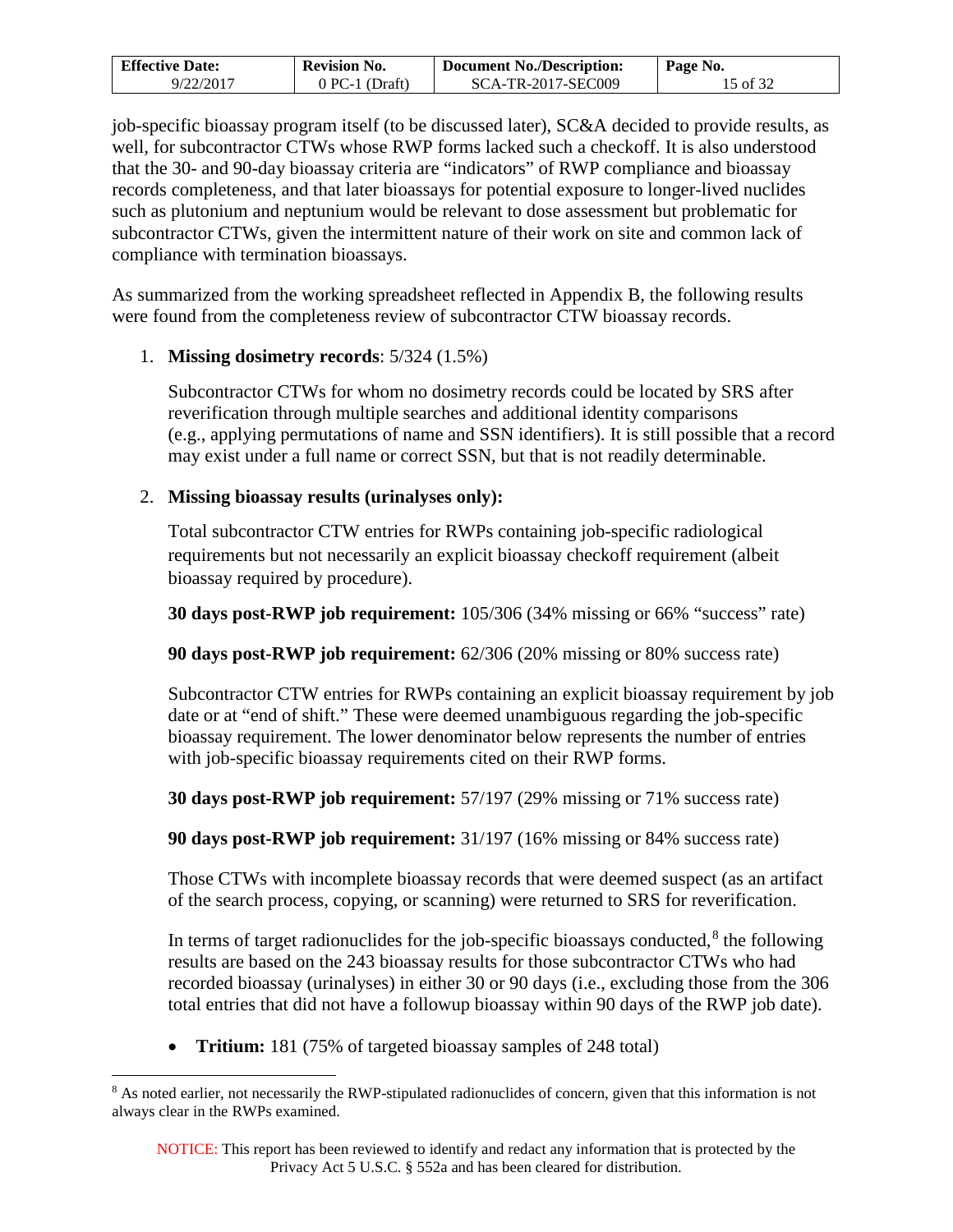| <b>Effective Date:</b> | <b>Revision No.</b> | <b>Document No./Description:</b> | Page No. |
|------------------------|---------------------|----------------------------------|----------|
| 9/22/2017              | 0 PC-1 (Draft)      | SCA-TR-2017-SEC009               | 15 of 32 |

job-specific bioassay program itself (to be discussed later), SC&A decided to provide results, as well, for subcontractor CTWs whose RWP forms lacked such a checkoff. It is also understood that the 30- and 90-day bioassay criteria are "indicators" of RWP compliance and bioassay records completeness, and that later bioassays for potential exposure to longer-lived nuclides such as plutonium and neptunium would be relevant to dose assessment but problematic for subcontractor CTWs, given the intermittent nature of their work on site and common lack of compliance with termination bioassays.

As summarized from the working spreadsheet reflected in Appendix B, the following results were found from the completeness review of subcontractor CTW bioassay records.

### 1. **Missing dosimetry records**: 5/324 (1.5%)

Subcontractor CTWs for whom no dosimetry records could be located by SRS after reverification through multiple searches and additional identity comparisons (e.g., applying permutations of name and SSN identifiers). It is still possible that a record may exist under a full name or correct SSN, but that is not readily determinable.

### 2. **Missing bioassay results (urinalyses only):**

Total subcontractor CTW entries for RWPs containing job-specific radiological requirements but not necessarily an explicit bioassay checkoff requirement (albeit bioassay required by procedure).

**30 days post-RWP job requirement:** 105/306 (34% missing or 66% "success" rate)

**90 days post-RWP job requirement:** 62/306 (20% missing or 80% success rate)

Subcontractor CTW entries for RWPs containing an explicit bioassay requirement by job date or at "end of shift." These were deemed unambiguous regarding the job-specific bioassay requirement. The lower denominator below represents the number of entries with job-specific bioassay requirements cited on their RWP forms.

**30 days post-RWP job requirement:** 57/197 (29% missing or 71% success rate)

**90 days post-RWP job requirement:** 31/197 (16% missing or 84% success rate)

Those CTWs with incomplete bioassay records that were deemed suspect (as an artifact of the search process, copying, or scanning) were returned to SRS for reverification.

In terms of target radionuclides for the job-specific bioassays conducted, $8$  the following results are based on the 243 bioassay results for those subcontractor CTWs who had recorded bioassay (urinalyses) in either 30 or 90 days (i.e., excluding those from the 306 total entries that did not have a followup bioassay within 90 days of the RWP job date).

• **Tritium:** 181 (75% of targeted bioassay samples of 248 total)

<span id="page-14-0"></span><sup>&</sup>lt;sup>8</sup> As noted earlier, not necessarily the RWP-stipulated radionuclides of concern, given that this information is not always clear in the RWPs examined.  $\overline{a}$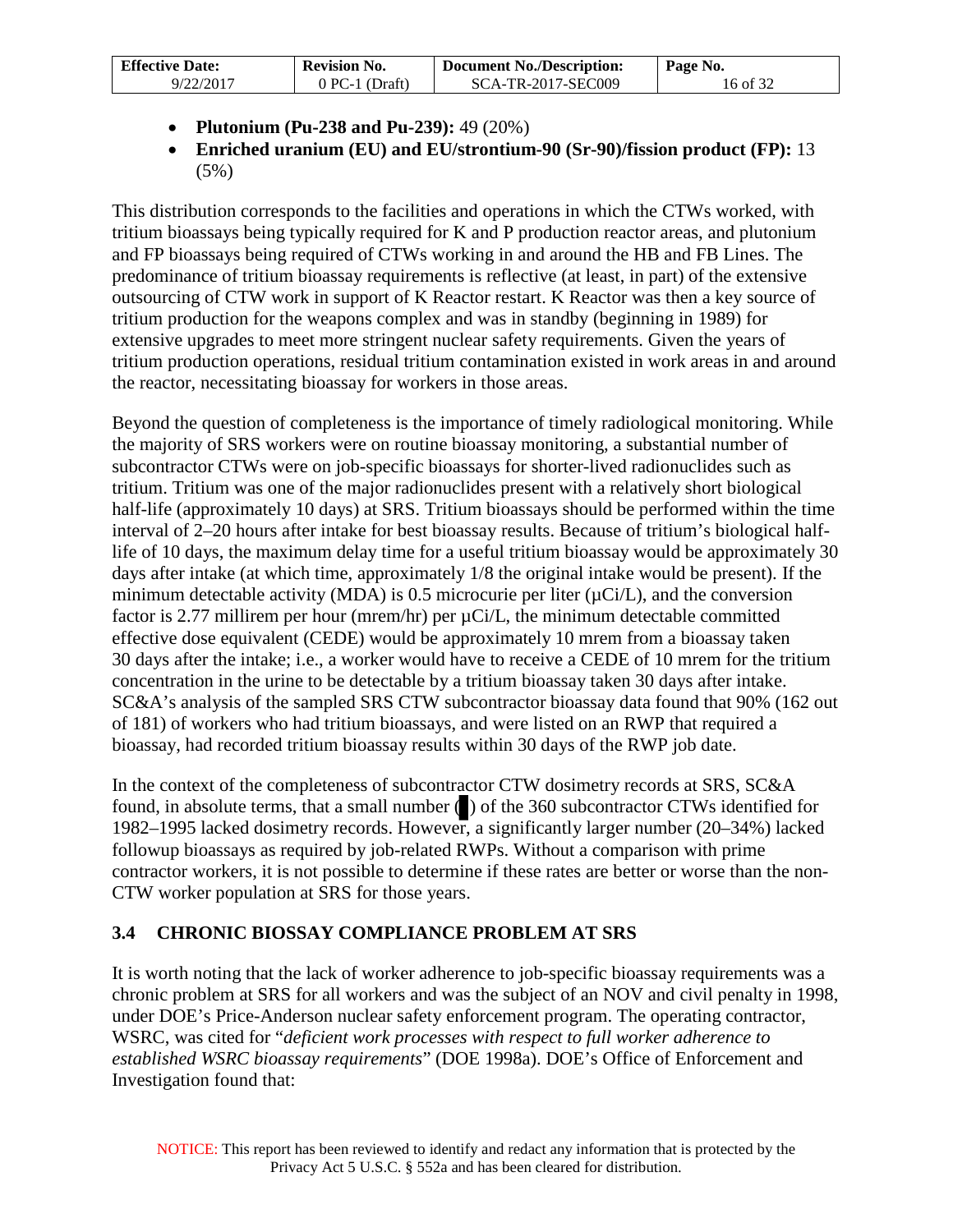| <b>Effective Date:</b> | <b>Revision No.</b> | <b>Document No./Description:</b> | Page No. |
|------------------------|---------------------|----------------------------------|----------|
| 9/22/2017              | $0$ PC-1 (Draft)    | SCA-TR-2017-SEC009               | 16 of 32 |

- **Plutonium (Pu-238 and Pu-239):** 49 (20%)
- **Enriched uranium (EU) and EU/strontium-90 (Sr-90)/fission product (FP):** 13 (5%)

This distribution corresponds to the facilities and operations in which the CTWs worked, with tritium bioassays being typically required for K and P production reactor areas, and plutonium and FP bioassays being required of CTWs working in and around the HB and FB Lines. The predominance of tritium bioassay requirements is reflective (at least, in part) of the extensive outsourcing of CTW work in support of K Reactor restart. K Reactor was then a key source of tritium production for the weapons complex and was in standby (beginning in 1989) for extensive upgrades to meet more stringent nuclear safety requirements. Given the years of tritium production operations, residual tritium contamination existed in work areas in and around the reactor, necessitating bioassay for workers in those areas.

Beyond the question of completeness is the importance of timely radiological monitoring. While the majority of SRS workers were on routine bioassay monitoring, a substantial number of subcontractor CTWs were on job-specific bioassays for shorter-lived radionuclides such as tritium. Tritium was one of the major radionuclides present with a relatively short biological half-life (approximately 10 days) at SRS. Tritium bioassays should be performed within the time interval of 2–20 hours after intake for best bioassay results. Because of tritium's biological halflife of 10 days, the maximum delay time for a useful tritium bioassay would be approximately 30 days after intake (at which time, approximately 1/8 the original intake would be present). If the minimum detectable activity (MDA) is 0.5 microcurie per liter  $(\mu Ci/L)$ , and the conversion factor is 2.77 millirem per hour (mrem/hr) per µCi/L, the minimum detectable committed effective dose equivalent (CEDE) would be approximately 10 mrem from a bioassay taken 30 days after the intake; i.e., a worker would have to receive a CEDE of 10 mrem for the tritium concentration in the urine to be detectable by a tritium bioassay taken 30 days after intake. SC&A's analysis of the sampled SRS CTW subcontractor bioassay data found that 90% (162 out of 181) of workers who had tritium bioassays, and were listed on an RWP that required a bioassay, had recorded tritium bioassay results within 30 days of the RWP job date.

In the context of the completeness of subcontractor CTW dosimetry records at SRS, SC&A found, in absolute terms, that a small number ( ) of the 360 subcontractor CTWs identified for 1982–1995 lacked dosimetry records. However, a significantly larger number (20–34%) lacked followup bioassays as required by job-related RWPs. Without a comparison with prime contractor workers, it is not possible to determine if these rates are better or worse than the non-CTW worker population at SRS for those years.

# <span id="page-15-0"></span>**3.4 CHRONIC BIOSSAY COMPLIANCE PROBLEM AT SRS**

It is worth noting that the lack of worker adherence to job-specific bioassay requirements was a chronic problem at SRS for all workers and was the subject of an NOV and civil penalty in 1998, under DOE's Price-Anderson nuclear safety enforcement program. The operating contractor, WSRC, was cited for "*deficient work processes with respect to full worker adherence to established WSRC bioassay requirements*" (DOE 1998a). DOE's Office of Enforcement and Investigation found that: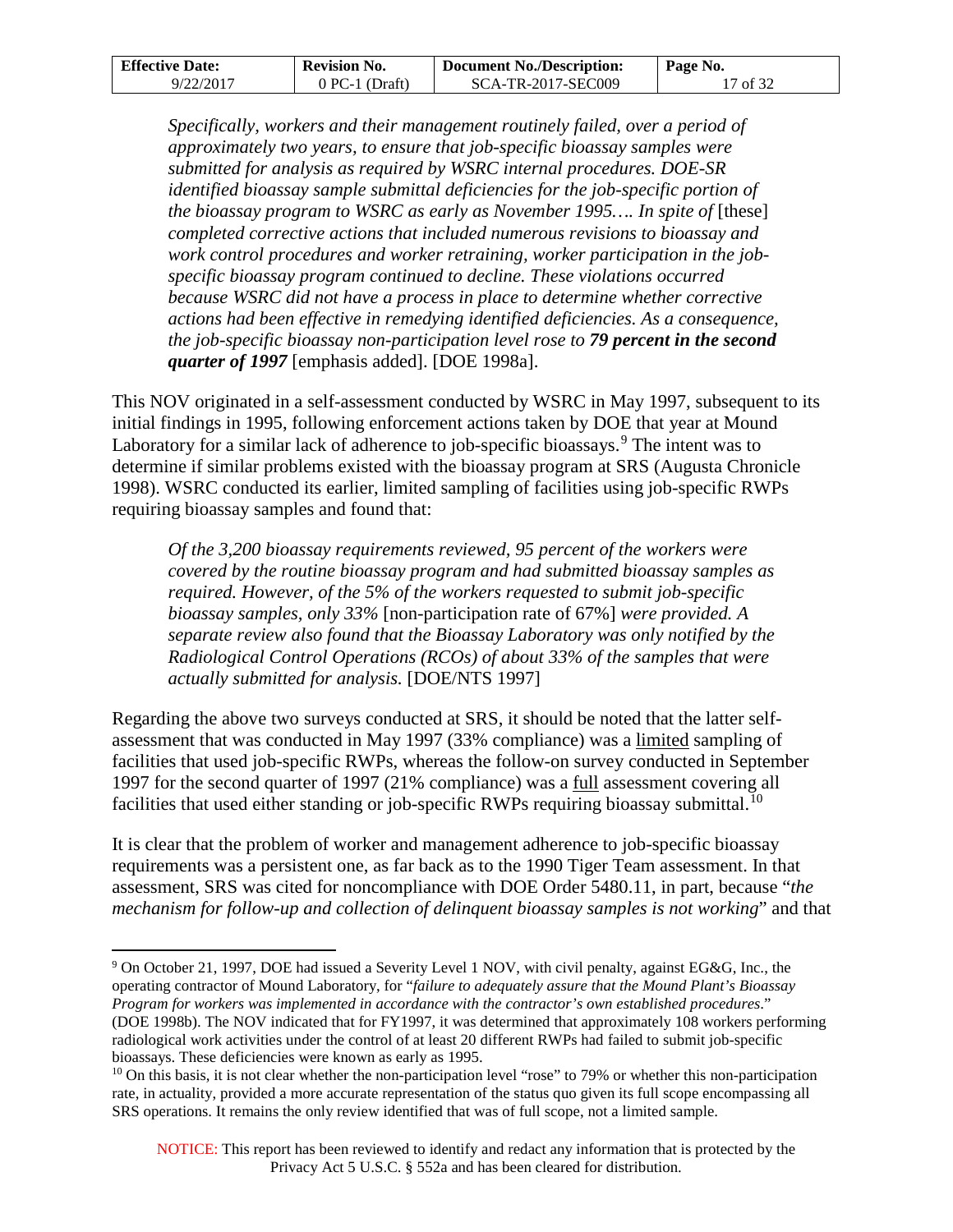| <b>Effective Date:</b> | <b>Revision No.</b> | <b>Document No./Description:</b> | Page No. |
|------------------------|---------------------|----------------------------------|----------|
| 9/22/2017              | $0$ PC-1 (Draft)    | SCA-TR-2017-SEC009               | 17 of 32 |

*Specifically, workers and their management routinely failed, over a period of approximately two years, to ensure that job-specific bioassay samples were submitted for analysis as required by WSRC internal procedures. DOE-SR identified bioassay sample submittal deficiencies for the job-specific portion of the bioassay program to WSRC as early as November 1995.... In spite of* [these] *completed corrective actions that included numerous revisions to bioassay and work control procedures and worker retraining, worker participation in the jobspecific bioassay program continued to decline. These violations occurred because WSRC did not have a process in place to determine whether corrective actions had been effective in remedying identified deficiencies. As a consequence, the job-specific bioassay non-participation level rose to 79 percent in the second quarter of 1997* [emphasis added]. [DOE 1998a].

This NOV originated in a self-assessment conducted by WSRC in May 1997, subsequent to its initial findings in 1995, following enforcement actions taken by DOE that year at Mound Laboratory for a similar lack of adherence to job-specific bioassays.<sup>[9](#page-16-0)</sup> The intent was to determine if similar problems existed with the bioassay program at SRS (Augusta Chronicle 1998). WSRC conducted its earlier, limited sampling of facilities using job-specific RWPs requiring bioassay samples and found that:

*Of the 3,200 bioassay requirements reviewed, 95 percent of the workers were covered by the routine bioassay program and had submitted bioassay samples as required. However, of the 5% of the workers requested to submit job-specific bioassay samples, only 33%* [non-participation rate of 67%] *were provided. A separate review also found that the Bioassay Laboratory was only notified by the Radiological Control Operations (RCOs) of about 33% of the samples that were actually submitted for analysis.* [DOE/NTS 1997]

Regarding the above two surveys conducted at SRS, it should be noted that the latter selfassessment that was conducted in May 1997 (33% compliance) was a limited sampling of facilities that used job-specific RWPs, whereas the follow-on survey conducted in September 1997 for the second quarter of 1997 (21% compliance) was a full assessment covering all facilities that used either standing or job-specific RWPs requiring bioassay submittal.<sup>[10](#page-16-1)</sup>

It is clear that the problem of worker and management adherence to job-specific bioassay requirements was a persistent one, as far back as to the 1990 Tiger Team assessment. In that assessment, SRS was cited for noncompliance with DOE Order 5480.11, in part, because "*the mechanism for follow-up and collection of delinquent bioassay samples is not working*" and that

 $\overline{a}$ 

<span id="page-16-0"></span><sup>&</sup>lt;sup>9</sup> On October 21, 1997, DOE had issued a Severity Level 1 NOV, with civil penalty, against EG&G, Inc., the operating contractor of Mound Laboratory, for "*failure to adequately assure that the Mound Plant's Bioassay Program for workers was implemented in accordance with the contractor's own established procedures*." (DOE 1998b). The NOV indicated that for FY1997, it was determined that approximately 108 workers performing radiological work activities under the control of at least 20 different RWPs had failed to submit job-specific bioassays. These deficiencies were known as early as 1995.

<span id="page-16-1"></span> $10$  On this basis, it is not clear whether the non-participation level "rose" to 79% or whether this non-participation rate, in actuality, provided a more accurate representation of the status quo given its full scope encompassing all SRS operations. It remains the only review identified that was of full scope, not a limited sample.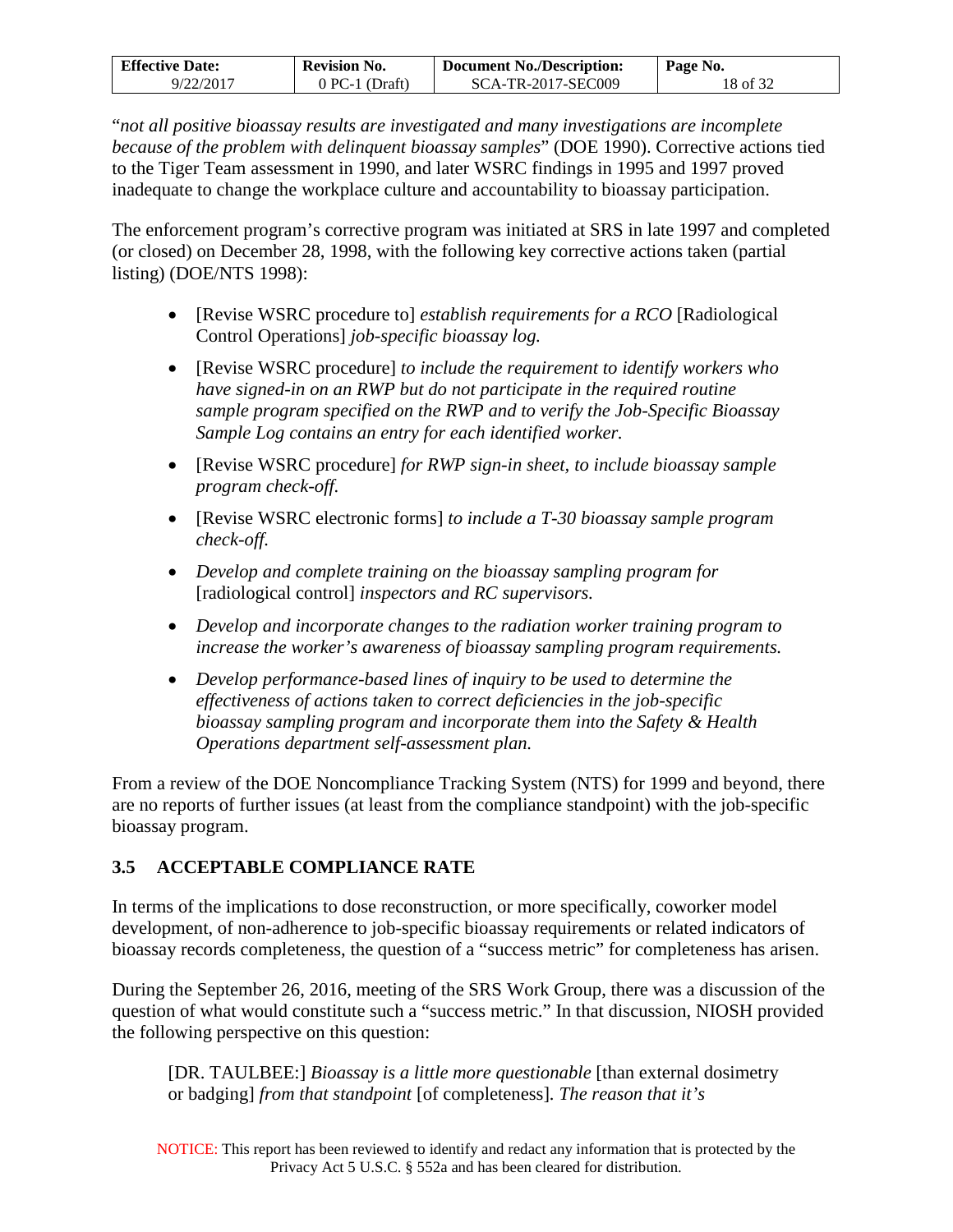| <b>Effective Date:</b> | <b>Revision No.</b> | <b>Document No./Description:</b> | Page No. |
|------------------------|---------------------|----------------------------------|----------|
| 9/22/2017              | $0$ PC-1 (Draft)    | SCA-TR-2017-SEC009               | 18 of 32 |

"*not all positive bioassay results are investigated and many investigations are incomplete because of the problem with delinquent bioassay samples*" (DOE 1990). Corrective actions tied to the Tiger Team assessment in 1990, and later WSRC findings in 1995 and 1997 proved inadequate to change the workplace culture and accountability to bioassay participation.

The enforcement program's corrective program was initiated at SRS in late 1997 and completed (or closed) on December 28, 1998, with the following key corrective actions taken (partial listing) (DOE/NTS 1998):

- [Revise WSRC procedure to] *establish requirements for a RCO* [Radiological Control Operations] *job-specific bioassay log.*
- [Revise WSRC procedure] *to include the requirement to identify workers who have signed-in on an RWP but do not participate in the required routine sample program specified on the RWP and to verify the Job-Specific Bioassay Sample Log contains an entry for each identified worker.*
- [Revise WSRC procedure] *for RWP sign-in sheet, to include bioassay sample program check-off.*
- [Revise WSRC electronic forms] *to include a T-30 bioassay sample program check-off.*
- *Develop and complete training on the bioassay sampling program for*  [radiological control] *inspectors and RC supervisors.*
- *Develop and incorporate changes to the radiation worker training program to increase the worker's awareness of bioassay sampling program requirements.*
- *Develop performance-based lines of inquiry to be used to determine the effectiveness of actions taken to correct deficiencies in the job-specific bioassay sampling program and incorporate them into the Safety & Health Operations department self-assessment plan.*

From a review of the DOE Noncompliance Tracking System (NTS) for 1999 and beyond, there are no reports of further issues (at least from the compliance standpoint) with the job-specific bioassay program.

## <span id="page-17-0"></span>**3.5 ACCEPTABLE COMPLIANCE RATE**

In terms of the implications to dose reconstruction, or more specifically, coworker model development, of non-adherence to job-specific bioassay requirements or related indicators of bioassay records completeness, the question of a "success metric" for completeness has arisen.

During the September 26, 2016, meeting of the SRS Work Group, there was a discussion of the question of what would constitute such a "success metric." In that discussion, NIOSH provided the following perspective on this question:

[DR. TAULBEE:] *Bioassay is a little more questionable* [than external dosimetry or badging] *from that standpoint* [of completeness]*. The reason that it's*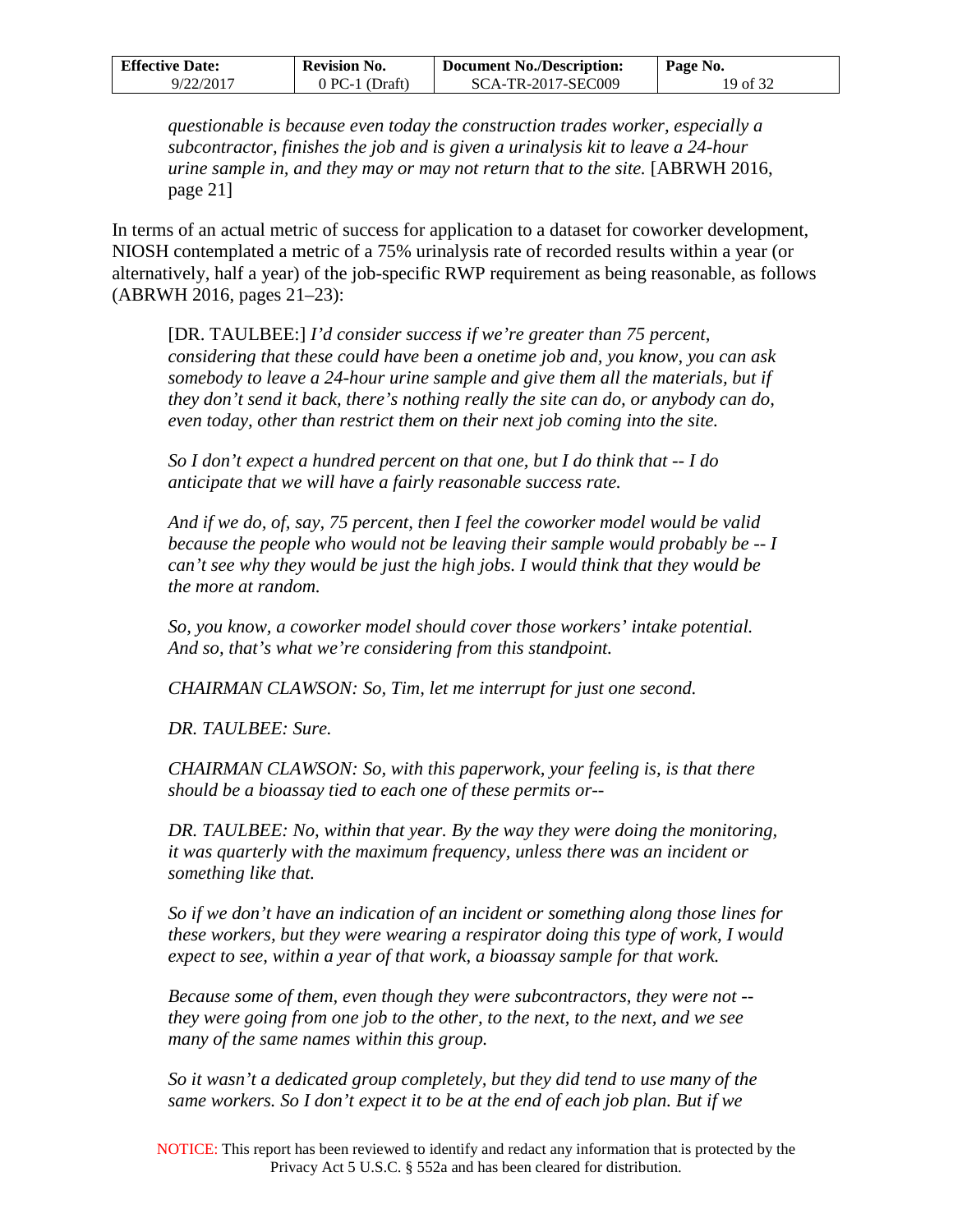| <b>Effective Date:</b> | <b>Revision No.</b> | <b>Document No./Description:</b> | Page No. |
|------------------------|---------------------|----------------------------------|----------|
| 9/22/2017              | $0$ PC-1 (Draft)    | SCA-TR-2017-SEC009               | 19 of 32 |

*questionable is because even today the construction trades worker, especially a subcontractor, finishes the job and is given a urinalysis kit to leave a 24-hour urine sample in, and they may or may not return that to the site.* [ABRWH 2016, page 21]

In terms of an actual metric of success for application to a dataset for coworker development, NIOSH contemplated a metric of a 75% urinalysis rate of recorded results within a year (or alternatively, half a year) of the job-specific RWP requirement as being reasonable, as follows (ABRWH 2016, pages 21–23):

[DR. TAULBEE:] *I'd consider success if we're greater than 75 percent, considering that these could have been a onetime job and, you know, you can ask somebody to leave a 24-hour urine sample and give them all the materials, but if they don't send it back, there's nothing really the site can do, or anybody can do, even today, other than restrict them on their next job coming into the site.* 

*So I don't expect a hundred percent on that one, but I do think that -- I do anticipate that we will have a fairly reasonable success rate.* 

*And if we do, of, say, 75 percent, then I feel the coworker model would be valid because the people who would not be leaving their sample would probably be -- I can't see why they would be just the high jobs. I would think that they would be the more at random.* 

*So, you know, a coworker model should cover those workers' intake potential. And so, that's what we're considering from this standpoint.* 

*CHAIRMAN CLAWSON: So, Tim, let me interrupt for just one second.* 

*DR. TAULBEE: Sure.* 

*CHAIRMAN CLAWSON: So, with this paperwork, your feeling is, is that there should be a bioassay tied to each one of these permits or--* 

*DR. TAULBEE: No, within that year. By the way they were doing the monitoring, it was quarterly with the maximum frequency, unless there was an incident or something like that.* 

*So if we don't have an indication of an incident or something along those lines for these workers, but they were wearing a respirator doing this type of work, I would expect to see, within a year of that work, a bioassay sample for that work.* 

*Because some of them, even though they were subcontractors, they were not - they were going from one job to the other, to the next, to the next, and we see many of the same names within this group.* 

*So it wasn't a dedicated group completely, but they did tend to use many of the same workers. So I don't expect it to be at the end of each job plan. But if we* 

NOTICE: This report has been reviewed to identify and redact any information that is protected by the Privacy Act 5 U.S.C. § 552a and has been cleared for distribution.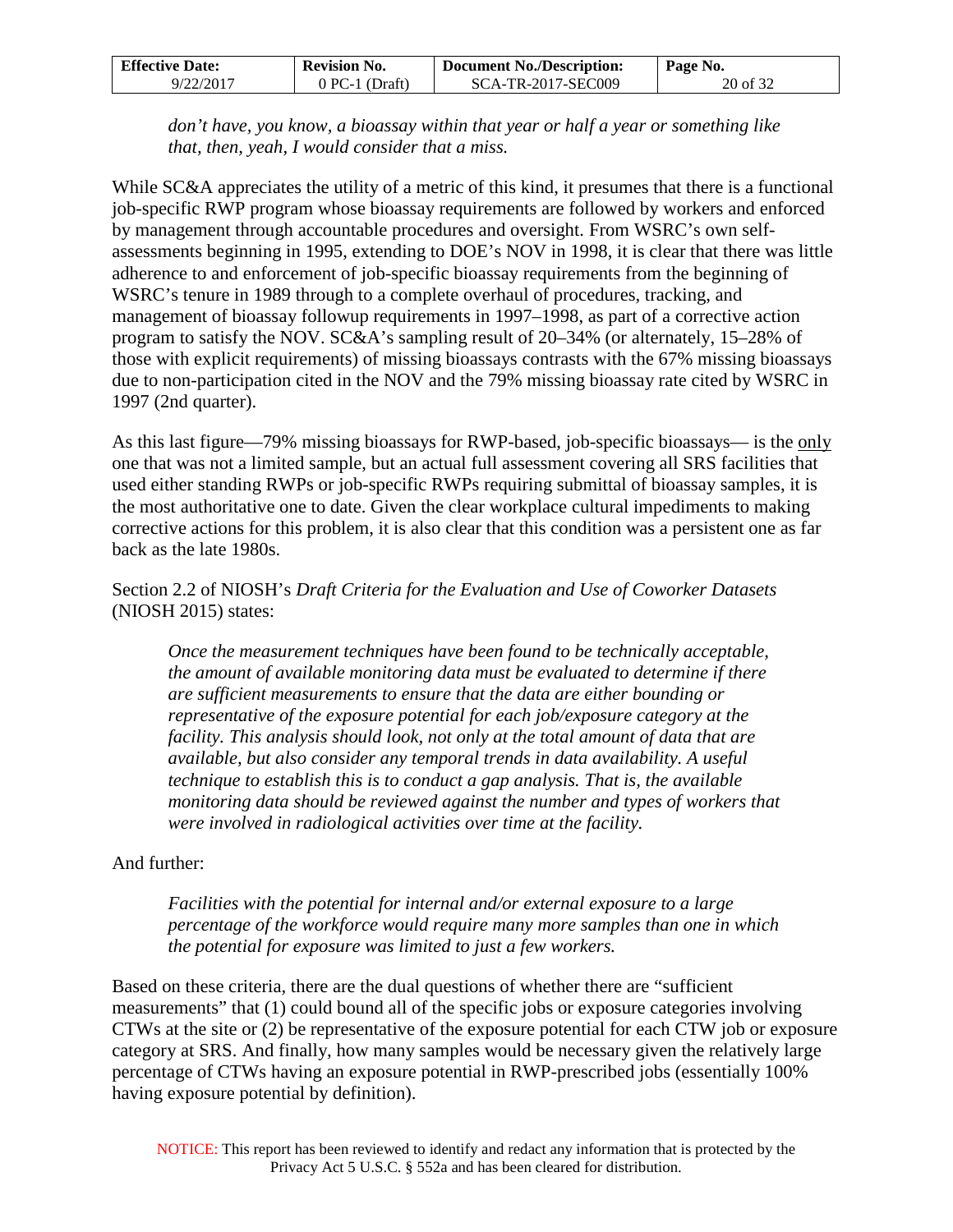| <b>Effective Date:</b> | <b>Revision No.</b> | <b>Document No./Description:</b> | Page No. |
|------------------------|---------------------|----------------------------------|----------|
| 9/22/2017              | 0 PC-1 (Draft)      | SCA-TR-2017-SEC009               | 20 of 32 |

*don't have, you know, a bioassay within that year or half a year or something like that, then, yeah, I would consider that a miss.* 

While SC&A appreciates the utility of a metric of this kind, it presumes that there is a functional job-specific RWP program whose bioassay requirements are followed by workers and enforced by management through accountable procedures and oversight. From WSRC's own selfassessments beginning in 1995, extending to DOE's NOV in 1998, it is clear that there was little adherence to and enforcement of job-specific bioassay requirements from the beginning of WSRC's tenure in 1989 through to a complete overhaul of procedures, tracking, and management of bioassay followup requirements in 1997–1998, as part of a corrective action program to satisfy the NOV. SC&A's sampling result of 20–34% (or alternately, 15–28% of those with explicit requirements) of missing bioassays contrasts with the 67% missing bioassays due to non-participation cited in the NOV and the 79% missing bioassay rate cited by WSRC in 1997 (2nd quarter).

As this last figure—79% missing bioassays for RWP-based, job-specific bioassays— is the only one that was not a limited sample, but an actual full assessment covering all SRS facilities that used either standing RWPs or job-specific RWPs requiring submittal of bioassay samples, it is the most authoritative one to date. Given the clear workplace cultural impediments to making corrective actions for this problem, it is also clear that this condition was a persistent one as far back as the late 1980s.

Section 2.2 of NIOSH's *Draft Criteria for the Evaluation and Use of Coworker Datasets* (NIOSH 2015) states:

*Once the measurement techniques have been found to be technically acceptable, the amount of available monitoring data must be evaluated to determine if there are sufficient measurements to ensure that the data are either bounding or representative of the exposure potential for each job/exposure category at the facility. This analysis should look, not only at the total amount of data that are available, but also consider any temporal trends in data availability. A useful technique to establish this is to conduct a gap analysis. That is, the available monitoring data should be reviewed against the number and types of workers that were involved in radiological activities over time at the facility.* 

### And further:

*Facilities with the potential for internal and/or external exposure to a large percentage of the workforce would require many more samples than one in which the potential for exposure was limited to just a few workers.*

Based on these criteria, there are the dual questions of whether there are "sufficient measurements" that (1) could bound all of the specific jobs or exposure categories involving CTWs at the site or (2) be representative of the exposure potential for each CTW job or exposure category at SRS. And finally, how many samples would be necessary given the relatively large percentage of CTWs having an exposure potential in RWP-prescribed jobs (essentially 100% having exposure potential by definition).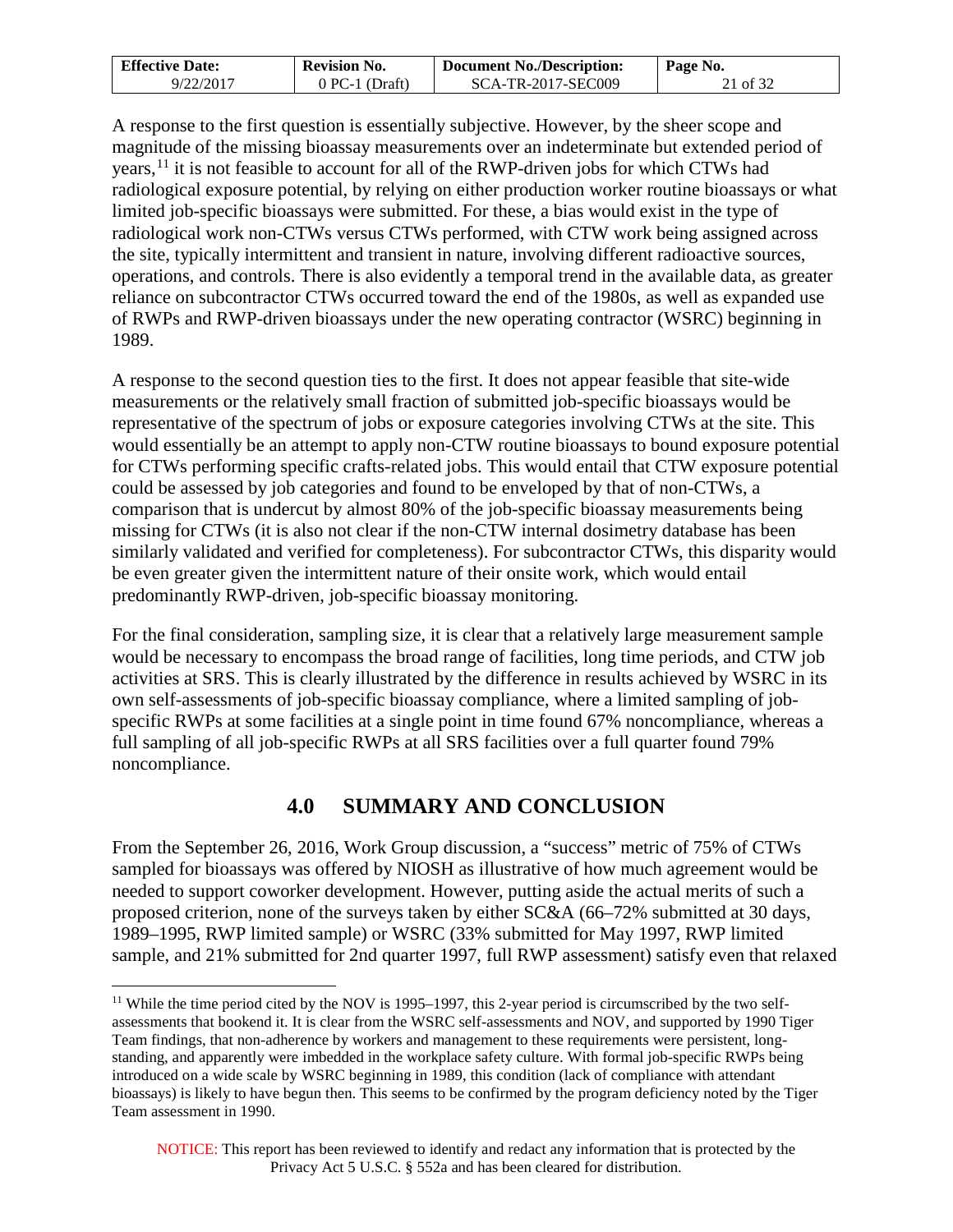| <b>Effective Date:</b> | <b>Revision No.</b> | <b>Document No./Description:</b> | Page No. |
|------------------------|---------------------|----------------------------------|----------|
| 9/22/2017              | $0$ PC-1 (Draft)    | SCA-TR-2017-SEC009               | 21 of 32 |

A response to the first question is essentially subjective. However, by the sheer scope and magnitude of the missing bioassay measurements over an indeterminate but extended period of years, $<sup>11</sup>$  $<sup>11</sup>$  $<sup>11</sup>$  it is not feasible to account for all of the RWP-driven jobs for which CTWs had</sup> radiological exposure potential, by relying on either production worker routine bioassays or what limited job-specific bioassays were submitted. For these, a bias would exist in the type of radiological work non-CTWs versus CTWs performed, with CTW work being assigned across the site, typically intermittent and transient in nature, involving different radioactive sources, operations, and controls. There is also evidently a temporal trend in the available data, as greater reliance on subcontractor CTWs occurred toward the end of the 1980s, as well as expanded use of RWPs and RWP-driven bioassays under the new operating contractor (WSRC) beginning in 1989.

A response to the second question ties to the first. It does not appear feasible that site-wide measurements or the relatively small fraction of submitted job-specific bioassays would be representative of the spectrum of jobs or exposure categories involving CTWs at the site. This would essentially be an attempt to apply non-CTW routine bioassays to bound exposure potential for CTWs performing specific crafts-related jobs. This would entail that CTW exposure potential could be assessed by job categories and found to be enveloped by that of non-CTWs, a comparison that is undercut by almost 80% of the job-specific bioassay measurements being missing for CTWs (it is also not clear if the non-CTW internal dosimetry database has been similarly validated and verified for completeness). For subcontractor CTWs, this disparity would be even greater given the intermittent nature of their onsite work, which would entail predominantly RWP-driven, job-specific bioassay monitoring.

For the final consideration, sampling size, it is clear that a relatively large measurement sample would be necessary to encompass the broad range of facilities, long time periods, and CTW job activities at SRS. This is clearly illustrated by the difference in results achieved by WSRC in its own self-assessments of job-specific bioassay compliance, where a limited sampling of jobspecific RWPs at some facilities at a single point in time found 67% noncompliance, whereas a full sampling of all job-specific RWPs at all SRS facilities over a full quarter found 79% noncompliance.

# **4.0 SUMMARY AND CONCLUSION**

<span id="page-20-0"></span>From the September 26, 2016, Work Group discussion, a "success" metric of 75% of CTWs sampled for bioassays was offered by NIOSH as illustrative of how much agreement would be needed to support coworker development. However, putting aside the actual merits of such a proposed criterion, none of the surveys taken by either SC&A (66–72% submitted at 30 days, 1989–1995, RWP limited sample) or WSRC (33% submitted for May 1997, RWP limited sample, and 21% submitted for 2nd quarter 1997, full RWP assessment) satisfy even that relaxed

<span id="page-20-1"></span><sup>&</sup>lt;sup>11</sup> While the time period cited by the NOV is 1995–1997, this 2-year period is circumscribed by the two selfassessments that bookend it. It is clear from the WSRC self-assessments and NOV, and supported by 1990 Tiger Team findings, that non-adherence by workers and management to these requirements were persistent, longstanding, and apparently were imbedded in the workplace safety culture. With formal job-specific RWPs being introduced on a wide scale by WSRC beginning in 1989, this condition (lack of compliance with attendant bioassays) is likely to have begun then. This seems to be confirmed by the program deficiency noted by the Tiger Team assessment in 1990.  $\overline{a}$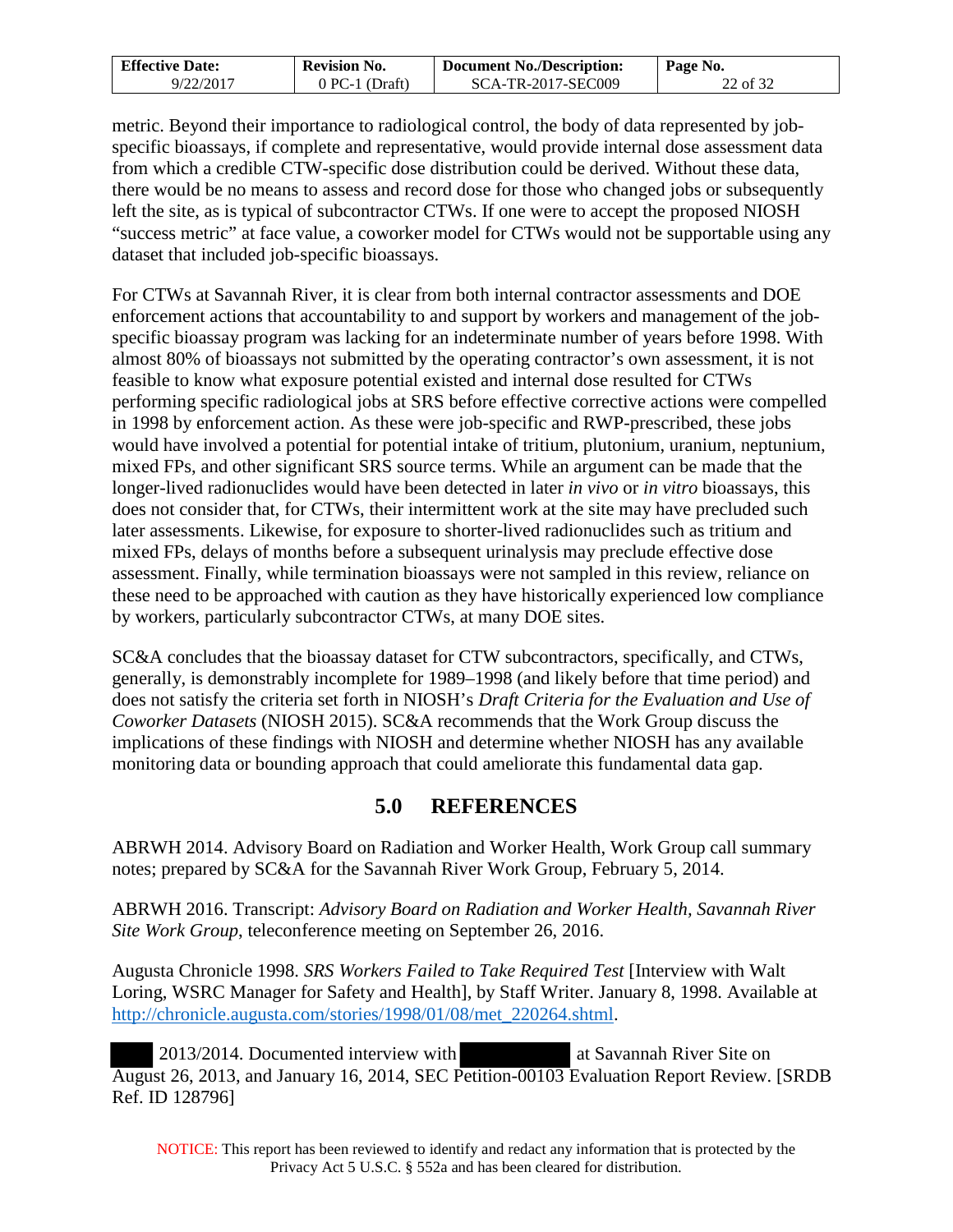| <b>Effective Date:</b> | <b>Revision No.</b> | <b>Document No./Description:</b> | Page No. |
|------------------------|---------------------|----------------------------------|----------|
| 9/22/2017              | $0 PC-1 (Draff)$    | SCA-TR-2017-SEC009               | 22 of 32 |

metric. Beyond their importance to radiological control, the body of data represented by jobspecific bioassays, if complete and representative, would provide internal dose assessment data from which a credible CTW-specific dose distribution could be derived. Without these data, there would be no means to assess and record dose for those who changed jobs or subsequently left the site, as is typical of subcontractor CTWs. If one were to accept the proposed NIOSH "success metric" at face value, a coworker model for CTWs would not be supportable using any dataset that included job-specific bioassays.

For CTWs at Savannah River, it is clear from both internal contractor assessments and DOE enforcement actions that accountability to and support by workers and management of the jobspecific bioassay program was lacking for an indeterminate number of years before 1998. With almost 80% of bioassays not submitted by the operating contractor's own assessment, it is not feasible to know what exposure potential existed and internal dose resulted for CTWs performing specific radiological jobs at SRS before effective corrective actions were compelled in 1998 by enforcement action. As these were job-specific and RWP-prescribed, these jobs would have involved a potential for potential intake of tritium, plutonium, uranium, neptunium, mixed FPs, and other significant SRS source terms. While an argument can be made that the longer-lived radionuclides would have been detected in later *in vivo* or *in vitro* bioassays, this does not consider that, for CTWs, their intermittent work at the site may have precluded such later assessments. Likewise, for exposure to shorter-lived radionuclides such as tritium and mixed FPs, delays of months before a subsequent urinalysis may preclude effective dose assessment. Finally, while termination bioassays were not sampled in this review, reliance on these need to be approached with caution as they have historically experienced low compliance by workers, particularly subcontractor CTWs, at many DOE sites.

SC&A concludes that the bioassay dataset for CTW subcontractors, specifically, and CTWs, generally, is demonstrably incomplete for 1989–1998 (and likely before that time period) and does not satisfy the criteria set forth in NIOSH's *Draft Criteria for the Evaluation and Use of Coworker Datasets* (NIOSH 2015). SC&A recommends that the Work Group discuss the implications of these findings with NIOSH and determine whether NIOSH has any available monitoring data or bounding approach that could ameliorate this fundamental data gap.

## **5.0 REFERENCES**

<span id="page-21-0"></span>ABRWH 2014. Advisory Board on Radiation and Worker Health, Work Group call summary notes; prepared by SC&A for the Savannah River Work Group, February 5, 2014.

ABRWH 2016. Transcript: *Advisory Board on Radiation and Worker Health, Savannah River Site Work Group*, teleconference meeting on September 26, 2016.

Augusta Chronicle 1998. *SRS Workers Failed to Take Required Test* [Interview with Walt Loring, WSRC Manager for Safety and Health], by Staff Writer. January 8, 1998. Available at http://chronicle.augusta.com/stories/1998/01/08/met\_220264.shtml.

 2013/2014. Documented interview with at Savannah River Site on August 26, 2013, and January 16, 2014, SEC Petition-00103 Evaluation Report Review. [SRDB Ref. ID 128796]

NOTICE: This report has been reviewed to identify and redact any information that is protected by the Privacy Act 5 U.S.C. § 552a and has been cleared for distribution.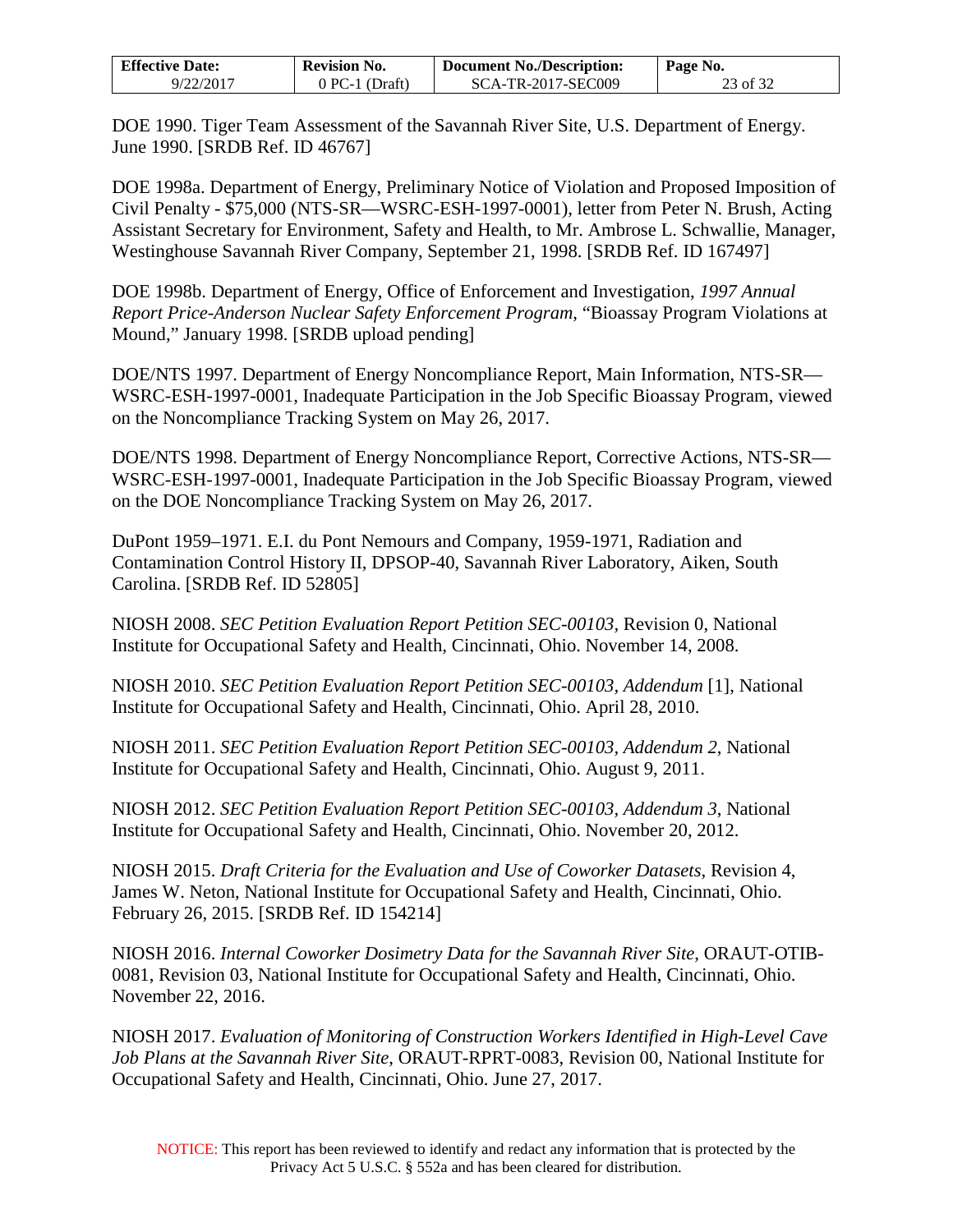| <b>Effective Date:</b> | Revision No.   | <b>Document No./Description:</b> | Page No. |
|------------------------|----------------|----------------------------------|----------|
| 9/22/2017              | 0 PC-1 (Draft) | SCA-TR-2017-SEC009               | 23 of 32 |

DOE 1990. Tiger Team Assessment of the Savannah River Site, U.S. Department of Energy. June 1990. [SRDB Ref. ID 46767]

DOE 1998a. Department of Energy, Preliminary Notice of Violation and Proposed Imposition of Civil Penalty - \$75,000 (NTS-SR—WSRC-ESH-1997-0001), letter from Peter N. Brush, Acting Assistant Secretary for Environment, Safety and Health, to Mr. Ambrose L. Schwallie, Manager, Westinghouse Savannah River Company, September 21, 1998. [SRDB Ref. ID 167497]

DOE 1998b. Department of Energy, Office of Enforcement and Investigation, *1997 Annual Report Price-Anderson Nuclear Safety Enforcement Program*, "Bioassay Program Violations at Mound," January 1998. [SRDB upload pending]

DOE/NTS 1997. Department of Energy Noncompliance Report, Main Information, NTS-SR— WSRC-ESH-1997-0001, Inadequate Participation in the Job Specific Bioassay Program, viewed on the Noncompliance Tracking System on May 26, 2017.

DOE/NTS 1998. Department of Energy Noncompliance Report, Corrective Actions, NTS-SR— WSRC-ESH-1997-0001, Inadequate Participation in the Job Specific Bioassay Program, viewed on the DOE Noncompliance Tracking System on May 26, 2017.

DuPont 1959–1971. E.I. du Pont Nemours and Company, 1959-1971, Radiation and Contamination Control History II, DPSOP-40, Savannah River Laboratory, Aiken, South Carolina. [SRDB Ref. ID 52805]

NIOSH 2008. *SEC Petition Evaluation Report Petition SEC-00103,* Revision 0, National Institute for Occupational Safety and Health, Cincinnati, Ohio. November 14, 2008.

NIOSH 2010. *SEC Petition Evaluation Report Petition SEC-00103, Addendum* [1], National Institute for Occupational Safety and Health, Cincinnati, Ohio. April 28, 2010.

NIOSH 2011. *SEC Petition Evaluation Report Petition SEC-00103, Addendum 2*, National Institute for Occupational Safety and Health, Cincinnati, Ohio. August 9, 2011.

NIOSH 2012. *SEC Petition Evaluation Report Petition SEC-00103, Addendum 3*, National Institute for Occupational Safety and Health, Cincinnati, Ohio. November 20, 2012.

NIOSH 2015. *Draft Criteria for the Evaluation and Use of Coworker Datasets,* Revision 4, James W. Neton, National Institute for Occupational Safety and Health, Cincinnati, Ohio. February 26, 2015. [SRDB Ref. ID 154214]

NIOSH 2016. *Internal Coworker Dosimetry Data for the Savannah River Site*, ORAUT-OTIB-0081, Revision 03, National Institute for Occupational Safety and Health, Cincinnati, Ohio. November 22, 2016.

NIOSH 2017. *Evaluation of Monitoring of Construction Workers Identified in High-Level Cave Job Plans at the Savannah River Site*, ORAUT-RPRT-0083, Revision 00, National Institute for Occupational Safety and Health, Cincinnati, Ohio. June 27, 2017.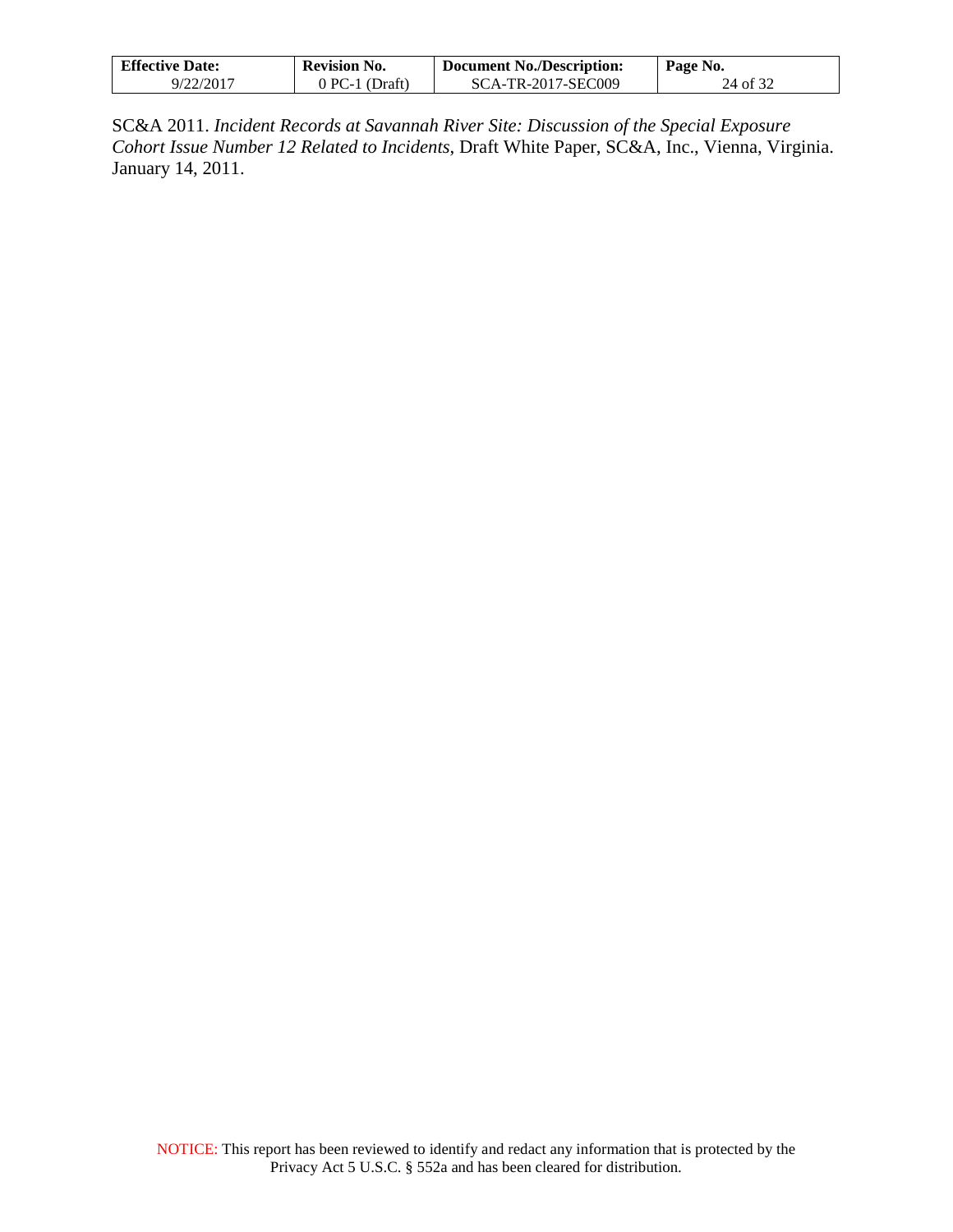| <b>Effective Date:</b> | Revision No.   | <b>Document No./Description:</b> | Page No. |
|------------------------|----------------|----------------------------------|----------|
| 9/22/2017              | 0 PC-1 (Draft) | SCA-TR-2017-SEC009               | 24 of 32 |

SC&A 2011. *Incident Records at Savannah River Site: Discussion of the Special Exposure Cohort Issue Number 12 Related to Incidents*, Draft White Paper, SC&A, Inc., Vienna, Virginia. January 14, 2011.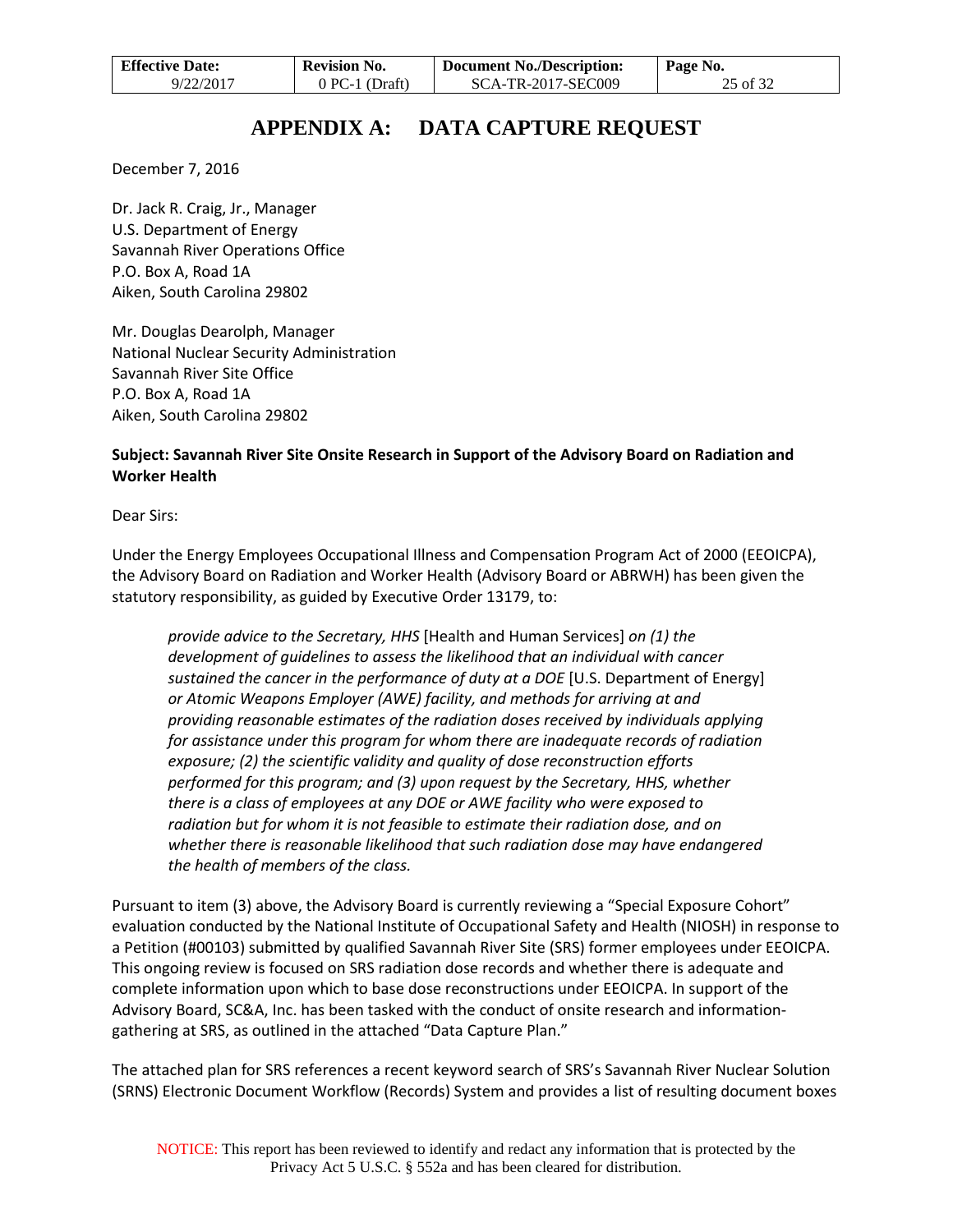| <b>Effective Date:</b> | <b>Revision No.</b> | Document No./Description: | Page No. |
|------------------------|---------------------|---------------------------|----------|
| 9/22/2017              | $0$ PC-1 (Draft)    | SCA-TR-2017-SEC009        | 25 of 32 |

## **APPENDIX A: DATA CAPTURE REQUEST**

<span id="page-24-0"></span>December 7, 2016

Dr. Jack R. Craig, Jr., Manager U.S. Department of Energy Savannah River Operations Office P.O. Box A, Road 1A Aiken, South Carolina 29802

Mr. Douglas Dearolph, Manager National Nuclear Security Administration Savannah River Site Office P.O. Box A, Road 1A Aiken, South Carolina 29802

### **Subject: Savannah River Site Onsite Research in Support of the Advisory Board on Radiation and Worker Health**

Dear Sirs:

Under the Energy Employees Occupational Illness and Compensation Program Act of 2000 (EEOICPA), the Advisory Board on Radiation and Worker Health (Advisory Board or ABRWH) has been given the statutory responsibility, as guided by Executive Order 13179, to:

*provide advice to the Secretary, HHS* [Health and Human Services] *on (1) the development of guidelines to assess the likelihood that an individual with cancer sustained the cancer in the performance of duty at a DOE* [U.S. Department of Energy] *or Atomic Weapons Employer (AWE) facility, and methods for arriving at and providing reasonable estimates of the radiation doses received by individuals applying for assistance under this program for whom there are inadequate records of radiation exposure; (2) the scientific validity and quality of dose reconstruction efforts performed for this program; and (3) upon request by the Secretary, HHS, whether there is a class of employees at any DOE or AWE facility who were exposed to radiation but for whom it is not feasible to estimate their radiation dose, and on whether there is reasonable likelihood that such radiation dose may have endangered the health of members of the class.*

Pursuant to item (3) above, the Advisory Board is currently reviewing a "Special Exposure Cohort" evaluation conducted by the National Institute of Occupational Safety and Health (NIOSH) in response to a Petition (#00103) submitted by qualified Savannah River Site (SRS) former employees under EEOICPA. This ongoing review is focused on SRS radiation dose records and whether there is adequate and complete information upon which to base dose reconstructions under EEOICPA. In support of the Advisory Board, SC&A, Inc. has been tasked with the conduct of onsite research and informationgathering at SRS, as outlined in the attached "Data Capture Plan."

The attached plan for SRS references a recent keyword search of SRS's Savannah River Nuclear Solution (SRNS) Electronic Document Workflow (Records) System and provides a list of resulting document boxes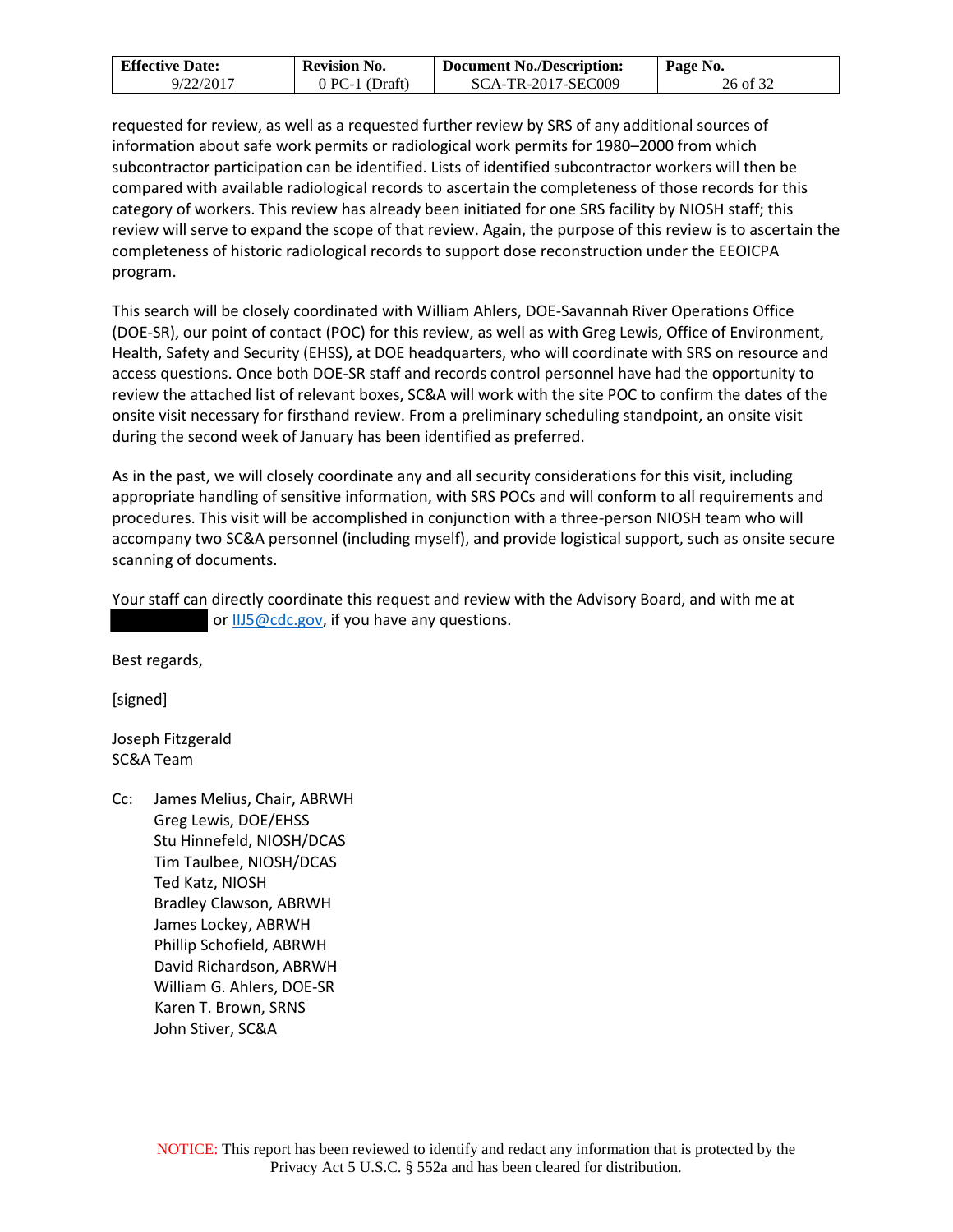| <b>Effective Date:</b> | <b>Revision No.</b> | <b>Document No./Description:</b> | Page No. |
|------------------------|---------------------|----------------------------------|----------|
| 9/22/2017              | 0 PC-1 (Draft)      | SCA-TR-2017-SEC009               | 26 of 32 |

requested for review, as well as a requested further review by SRS of any additional sources of information about safe work permits or radiological work permits for 1980–2000 from which subcontractor participation can be identified. Lists of identified subcontractor workers will then be compared with available radiological records to ascertain the completeness of those records for this category of workers. This review has already been initiated for one SRS facility by NIOSH staff; this review will serve to expand the scope of that review. Again, the purpose of this review is to ascertain the completeness of historic radiological records to support dose reconstruction under the EEOICPA program.

This search will be closely coordinated with William Ahlers, DOE-Savannah River Operations Office (DOE-SR), our point of contact (POC) for this review, as well as with Greg Lewis, Office of Environment, Health, Safety and Security (EHSS), at DOE headquarters, who will coordinate with SRS on resource and access questions. Once both DOE-SR staff and records control personnel have had the opportunity to review the attached list of relevant boxes, SC&A will work with the site POC to confirm the dates of the onsite visit necessary for firsthand review. From a preliminary scheduling standpoint, an onsite visit during the second week of January has been identified as preferred.

As in the past, we will closely coordinate any and all security considerations for this visit, including appropriate handling of sensitive information, with SRS POCs and will conform to all requirements and procedures. This visit will be accomplished in conjunction with a three-person NIOSH team who will accompany two SC&A personnel (including myself), and provide logistical support, such as onsite secure scanning of documents.

Your staff can directly coordinate this request and review with the Advisory Board, and with me at or [IIJ5@cdc.gov,](mailto:IIJ5@cdc.gov) if you have any questions.

Best regards,

[signed]

Joseph Fitzgerald SC&A Team

Cc: James Melius, Chair, ABRWH Greg Lewis, DOE/EHSS Stu Hinnefeld, NIOSH/DCAS Tim Taulbee, NIOSH/DCAS Ted Katz, NIOSH Bradley Clawson, ABRWH James Lockey, ABRWH Phillip Schofield, ABRWH David Richardson, ABRWH William G. Ahlers, DOE-SR Karen T. Brown, SRNS John Stiver, SC&A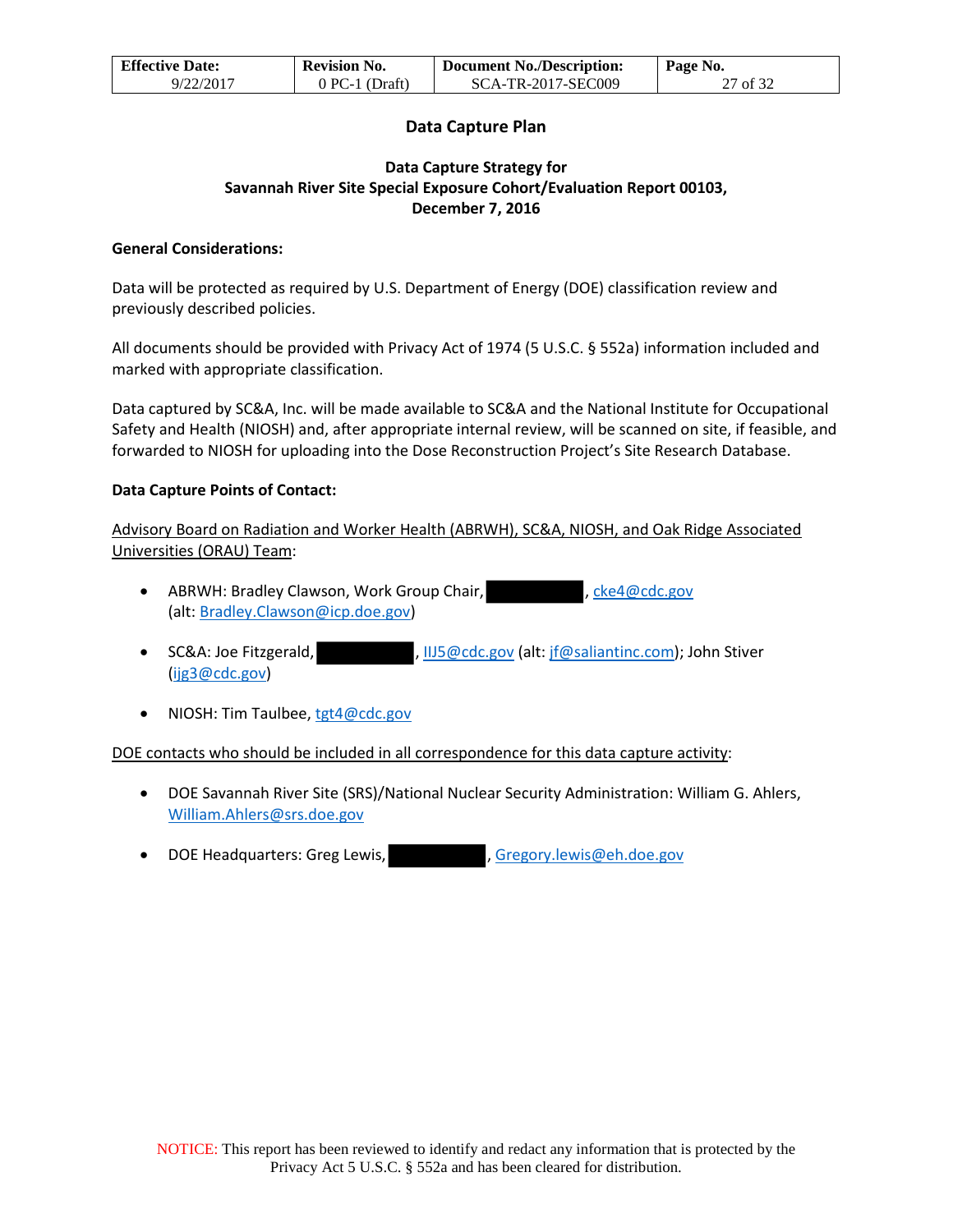| <b>Effective Date:</b> | <b>Revision No.</b> | <b>Document No./Description:</b> | $\mathsf{Page}\ No.$ |
|------------------------|---------------------|----------------------------------|----------------------|
| 9/22/2017              | $0$ PC-1 (Draft)    | SCA-TR-2017-SEC009               | 27 of 32             |

### **Data Capture Plan**

### **Data Capture Strategy for Savannah River Site Special Exposure Cohort/Evaluation Report 00103, December 7, 2016**

### **General Considerations:**

Data will be protected as required by U.S. Department of Energy (DOE) classification review and previously described policies.

All documents should be provided with Privacy Act of 1974 (5 U.S.C. § 552a) information included and marked with appropriate classification.

Data captured by SC&A, Inc. will be made available to SC&A and the National Institute for Occupational Safety and Health (NIOSH) and, after appropriate internal review, will be scanned on site, if feasible, and forwarded to NIOSH for uploading into the Dose Reconstruction Project's Site Research Database.

### **Data Capture Points of Contact:**

Advisory Board on Radiation and Worker Health (ABRWH), SC&A, NIOSH, and Oak Ridge Associated Universities (ORAU) Team:

- ABRWH: Bradley Clawson, Work Group Chair, https://www.eke4@cdc.gov (alt: Bradley.Clawson@icp.doe.gov)
- SC&A: Joe Fitzgerald, **and The Contact Hotel is a SCCA:** John Stiver [\(ijg3@cdc.gov\)](mailto:ijg3@cdc.gov)
- NIOSH: Tim Taulbee[, tgt4@cdc.gov](mailto:tgt4@cdc.gov)

### DOE contacts who should be included in all correspondence for this data capture activity:

- DOE Savannah River Site (SRS)/National Nuclear Security Administration: William G. Ahlers, [William.Ahlers@srs.doe.gov](mailto:William.Ahlers@srs.doe.gov)
- DOE Headquarters: Greg Lewis, The Music Cregory.lewis@eh.doe.gov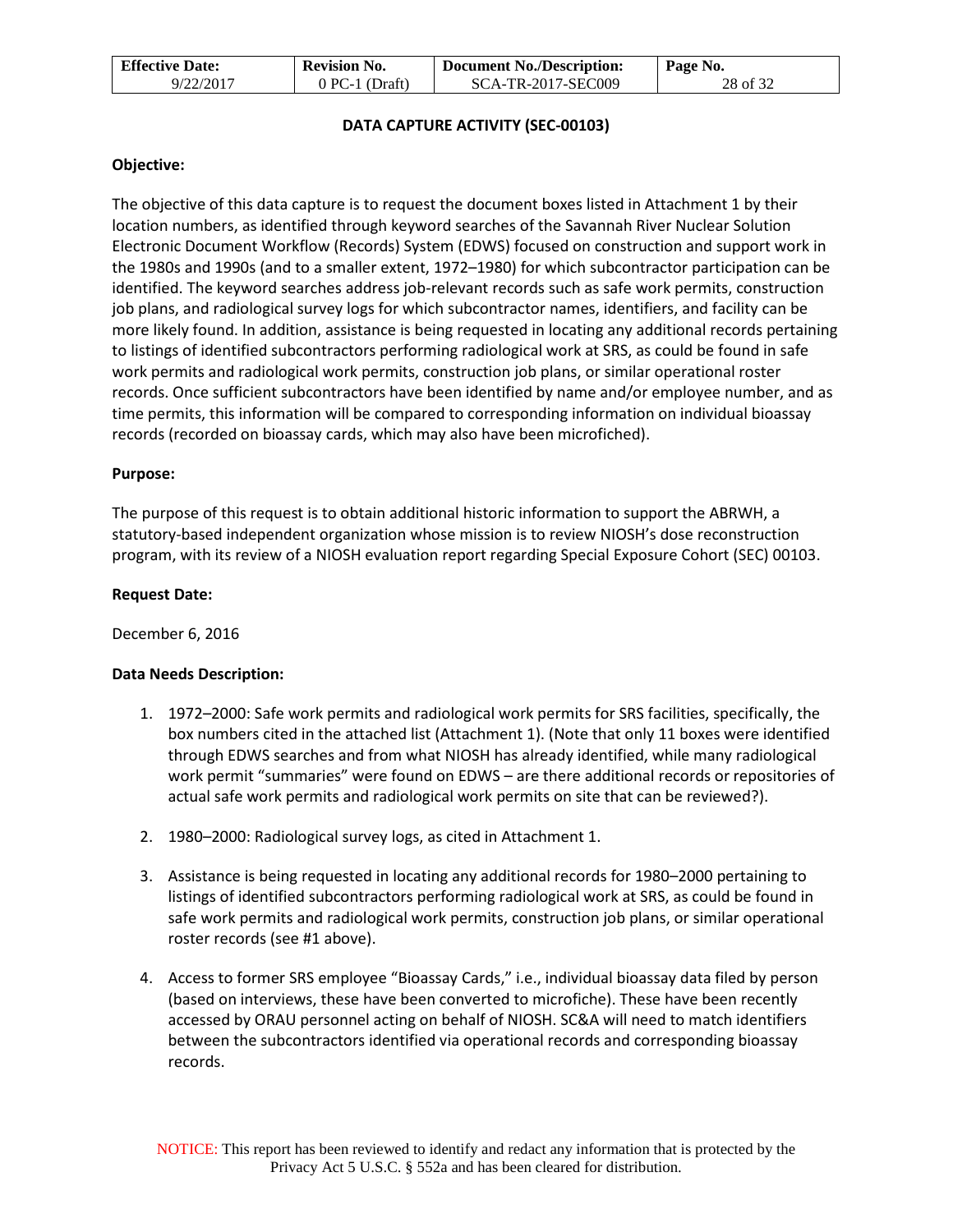| <b>Effective Date:</b> | <b>Revision No.</b> | <b>Document No./Description:</b> | $\mathsf{Page}\$ No. |
|------------------------|---------------------|----------------------------------|----------------------|
| 9/22/2017              | $0$ PC-1 (Draft)    | SCA-TR-2017-SEC009               | 28 of 32             |

### **DATA CAPTURE ACTIVITY (SEC-00103)**

### **Objective:**

The objective of this data capture is to request the document boxes listed in Attachment 1 by their location numbers, as identified through keyword searches of the Savannah River Nuclear Solution Electronic Document Workflow (Records) System (EDWS) focused on construction and support work in the 1980s and 1990s (and to a smaller extent, 1972–1980) for which subcontractor participation can be identified. The keyword searches address job-relevant records such as safe work permits, construction job plans, and radiological survey logs for which subcontractor names, identifiers, and facility can be more likely found. In addition, assistance is being requested in locating any additional records pertaining to listings of identified subcontractors performing radiological work at SRS, as could be found in safe work permits and radiological work permits, construction job plans, or similar operational roster records. Once sufficient subcontractors have been identified by name and/or employee number, and as time permits, this information will be compared to corresponding information on individual bioassay records (recorded on bioassay cards, which may also have been microfiched).

### **Purpose:**

The purpose of this request is to obtain additional historic information to support the ABRWH, a statutory-based independent organization whose mission is to review NIOSH's dose reconstruction program, with its review of a NIOSH evaluation report regarding Special Exposure Cohort (SEC) 00103.

### **Request Date:**

December 6, 2016

### **Data Needs Description:**

- 1. 1972–2000: Safe work permits and radiological work permits for SRS facilities, specifically, the box numbers cited in the attached list (Attachment 1). (Note that only 11 boxes were identified through EDWS searches and from what NIOSH has already identified, while many radiological work permit "summaries" were found on EDWS – are there additional records or repositories of actual safe work permits and radiological work permits on site that can be reviewed?).
- 2. 1980–2000: Radiological survey logs, as cited in Attachment 1.
- 3. Assistance is being requested in locating any additional records for 1980–2000 pertaining to listings of identified subcontractors performing radiological work at SRS, as could be found in safe work permits and radiological work permits, construction job plans, or similar operational roster records (see #1 above).
- 4. Access to former SRS employee "Bioassay Cards," i.e., individual bioassay data filed by person (based on interviews, these have been converted to microfiche). These have been recently accessed by ORAU personnel acting on behalf of NIOSH. SC&A will need to match identifiers between the subcontractors identified via operational records and corresponding bioassay records.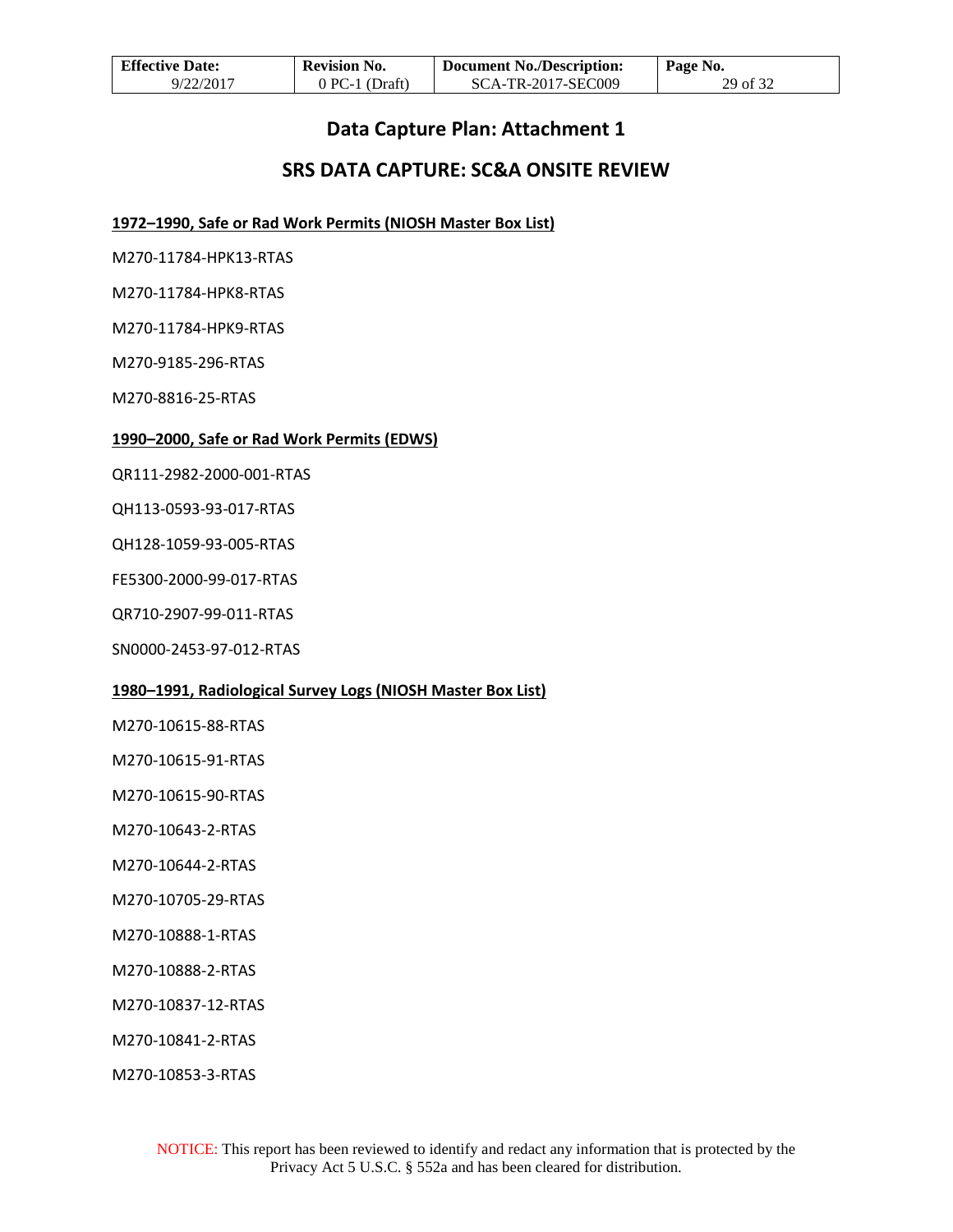| <b>Effective Date:</b> | <b>Revision No.</b> | <b>Document No./Description:</b> | Page No. |
|------------------------|---------------------|----------------------------------|----------|
| 9/22/2017              | $0$ PC-1 (Draft)    | SCA-TR-2017-SEC009               | 29 of 32 |

### **Data Capture Plan: Attachment 1**

## **SRS DATA CAPTURE: SC&A ONSITE REVIEW**

**1972–1990, Safe or Rad Work Permits (NIOSH Master Box List)**

M270-11784-HPK13-RTAS

M270-11784-HPK8-RTAS

M270-11784-HPK9-RTAS

M270-9185-296-RTAS

M270-8816-25-RTAS

#### **1990–2000, Safe or Rad Work Permits (EDWS)**

QR111-2982-2000-001-RTAS

QH113-0593-93-017-RTAS

QH128-1059-93-005-RTAS

FE5300-2000-99-017-RTAS

QR710-2907-99-011-RTAS

SN0000-2453-97-012-RTAS

### **1980–1991, Radiological Survey Logs (NIOSH Master Box List)**

M270-10615-88-RTAS

M270-10615-91-RTAS

M270-10615-90-RTAS

M270-10643-2-RTAS

M270-10644-2-RTAS

M270-10705-29-RTAS

M270-10888-1-RTAS

M270-10888-2-RTAS

M270-10837-12-RTAS

M270-10841-2-RTAS

M270-10853-3-RTAS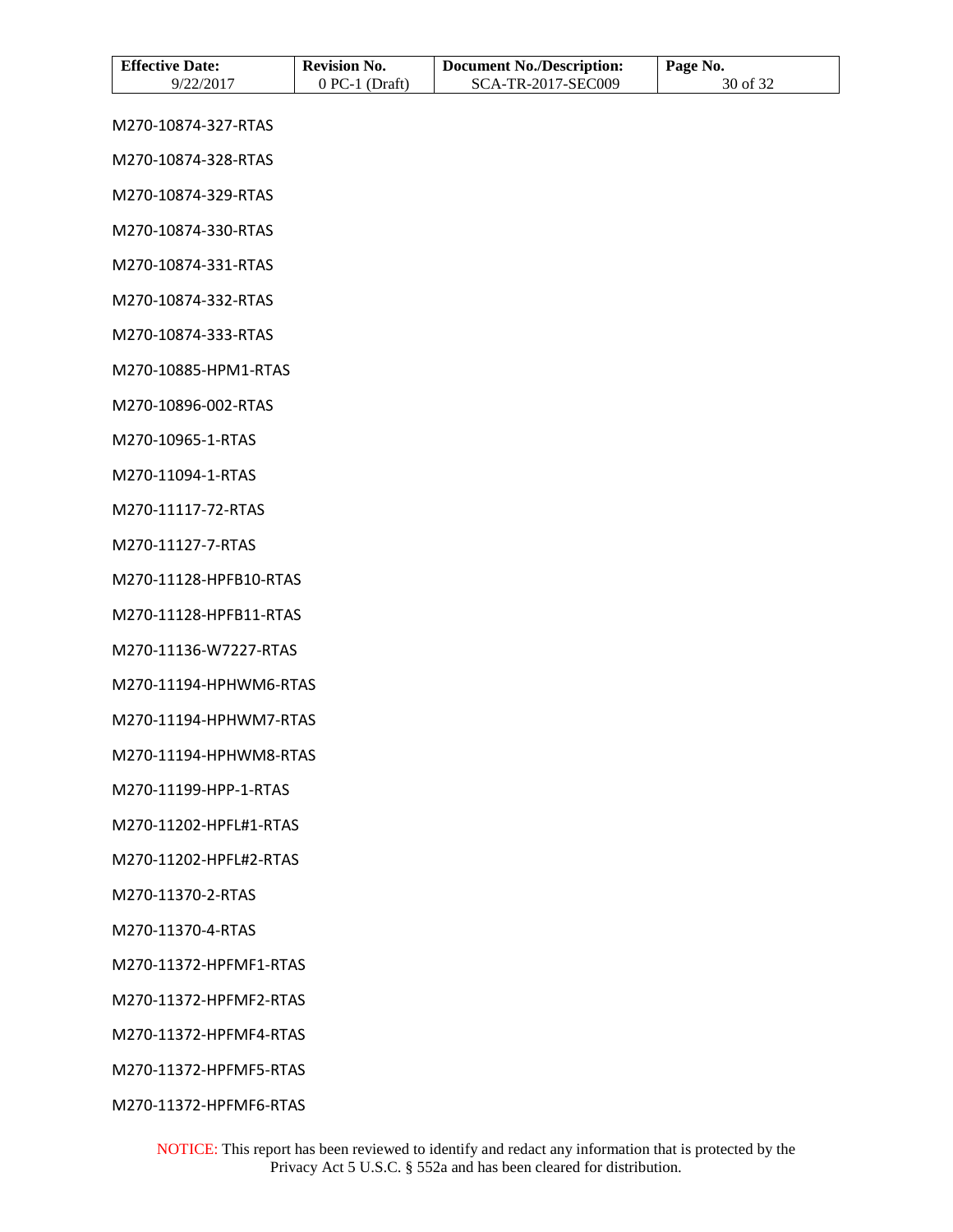| <b>Effective Date:</b><br>9/22/2017 | <b>Revision No.</b><br>$0$ PC-1 (Draft) | <b>Document No./Description:</b><br>SCA-TR-2017-SEC009 | Page No.<br>30 of 32 |
|-------------------------------------|-----------------------------------------|--------------------------------------------------------|----------------------|
| M270-10874-327-RTAS                 |                                         |                                                        |                      |
| M270-10874-328-RTAS                 |                                         |                                                        |                      |
| M270-10874-329-RTAS                 |                                         |                                                        |                      |
| M270-10874-330-RTAS                 |                                         |                                                        |                      |
| M270-10874-331-RTAS                 |                                         |                                                        |                      |
| M270-10874-332-RTAS                 |                                         |                                                        |                      |
| M270-10874-333-RTAS                 |                                         |                                                        |                      |
| M270-10885-HPM1-RTAS                |                                         |                                                        |                      |
| M270-10896-002-RTAS                 |                                         |                                                        |                      |
| M270-10965-1-RTAS                   |                                         |                                                        |                      |
| M270-11094-1-RTAS                   |                                         |                                                        |                      |
| M270-11117-72-RTAS                  |                                         |                                                        |                      |
| M270-11127-7-RTAS                   |                                         |                                                        |                      |
| M270-11128-HPFB10-RTAS              |                                         |                                                        |                      |
| M270-11128-HPFB11-RTAS              |                                         |                                                        |                      |
| M270-11136-W7227-RTAS               |                                         |                                                        |                      |
| M270-11194-HPHWM6-RTAS              |                                         |                                                        |                      |
| M270-11194-HPHWM7-RTAS              |                                         |                                                        |                      |
| M270-11194-HPHWM8-RTAS              |                                         |                                                        |                      |
| M270-11199-HPP-1-RTAS               |                                         |                                                        |                      |
| M270-11202-HPFL#1-RTAS              |                                         |                                                        |                      |
| M270-11202-HPFL#2-RTAS              |                                         |                                                        |                      |
| M270-11370-2-RTAS                   |                                         |                                                        |                      |
| M270-11370-4-RTAS                   |                                         |                                                        |                      |
| M270-11372-HPFMF1-RTAS              |                                         |                                                        |                      |
| M270-11372-HPFMF2-RTAS              |                                         |                                                        |                      |
| M270-11372-HPFMF4-RTAS              |                                         |                                                        |                      |

M270-11372-HPFMF5-RTAS

M270-11372-HPFMF6-RTAS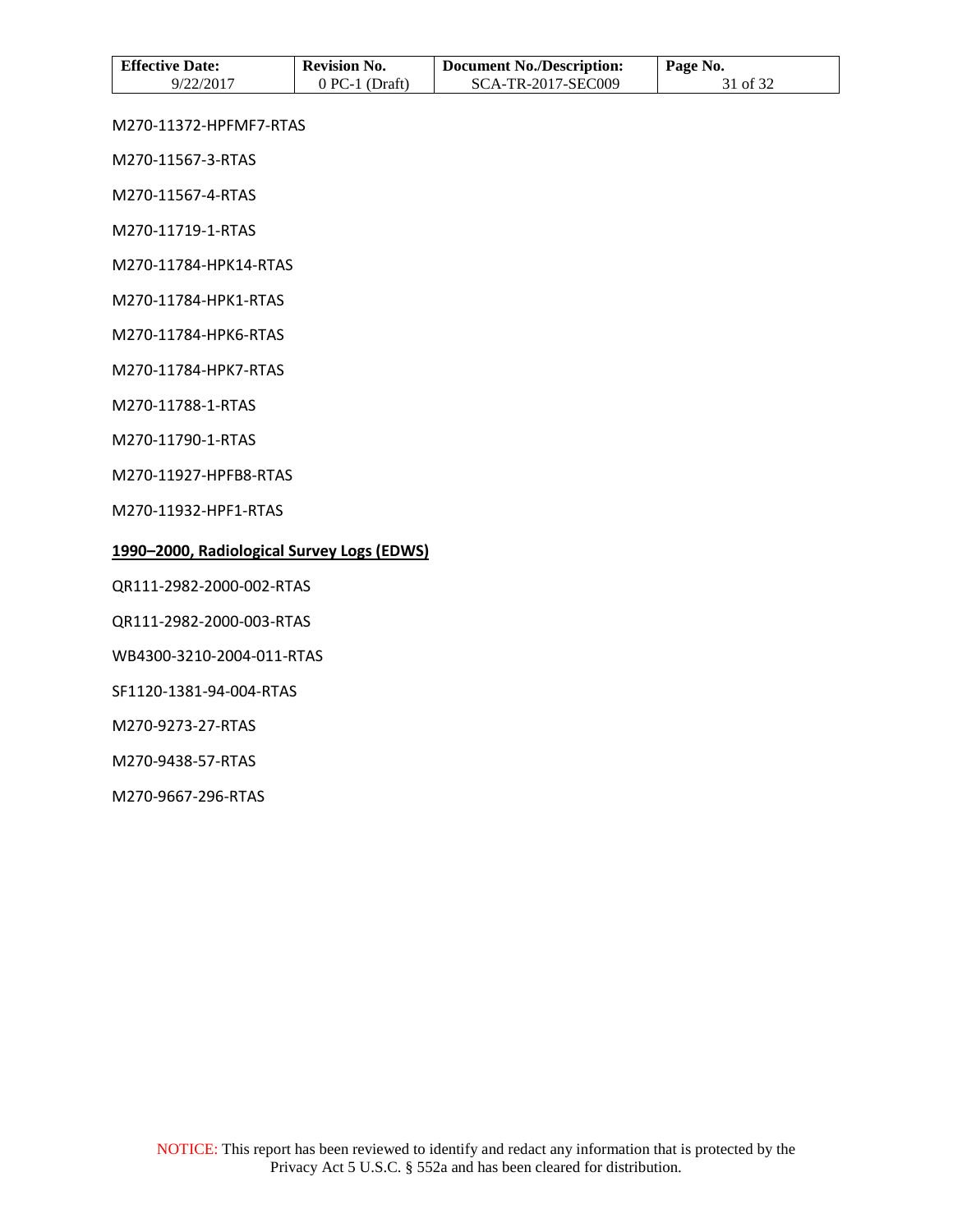| <b>Effective Date:</b> | <b>Revision No.</b> | <b>Document No./Description:</b> | Page No. |
|------------------------|---------------------|----------------------------------|----------|
| 9/22/2017              | $0$ PC-1 (Draft)    | SCA-TR-2017-SEC009               | 31 of 32 |

M270-11372-HPFMF7-RTAS

M270-11567-3-RTAS

M270-11567-4-RTAS

M270-11719-1-RTAS

M270-11784-HPK14-RTAS

M270-11784-HPK1-RTAS

M270-11784-HPK6-RTAS

M270-11784-HPK7-RTAS

M270-11788-1-RTAS

M270-11790-1-RTAS

M270-11927-HPFB8-RTAS

M270-11932-HPF1-RTAS

#### **1990–2000, Radiological Survey Logs (EDWS)**

QR111-2982-2000-002-RTAS

QR111-2982-2000-003-RTAS

WB4300-3210-2004-011-RTAS

SF1120-1381-94-004-RTAS

M270-9273-27-RTAS

M270-9438-57-RTAS

M270-9667-296-RTAS